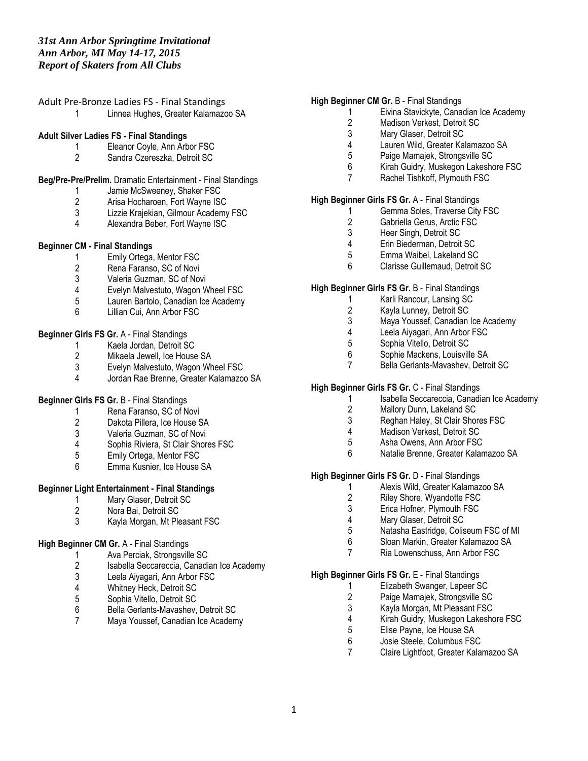| Adult Pre-Bronze Ladies FS - Final Standings |
|----------------------------------------------|
| Linnea Hughes, Greater Kalamazoo SA          |

#### **Adult Silver Ladies FS - Final Standings**

- 1 Eleanor Coyle, Ann Arbor FSC
- 2 Sandra Czereszka, Detroit SC

# **Beg/Pre-Pre/Prelim.** Dramatic Entertainment - Final Standings

- 1 Jamie McSweeney, Shaker FSC
- 2 Arisa Hocharoen, Fort Wayne ISC<br>3 Lizzie Kraiekian. Gilmour Academy
- 3 Lizzie Krajekian, Gilmour Academy FSC<br>4 Alexandra Beber Fort Wayne ISC
- 4 Alexandra Beber, Fort Wayne ISC

#### **Beginner CM - Final Standings**

- 1 Emily Ortega, Mentor FSC
- 2 Rena Faranso, SC of Novi<br>3 Valeria Guzman, SC of Nov
- Valeria Guzman, SC of Novi
- 
- 4 Evelyn Malvestuto, Wagon Wheel FSC<br>5 Lauren Bartolo, Canadian Ice Academy 5 Lauren Bartolo, Canadian Ice Academy<br>6 Lillian Cui. Ann Arbor FSC
- Lillian Cui, Ann Arbor FSC

# **Beginner Girls FS Gr.** A - Final Standings

- 1 Kaela Jordan, Detroit SC<br>2 Mikaela Jewell, Ice House
- 2 Mikaela Jewell, Ice House SA<br>3 Evelyn Malvestuto. Wagon Wh
- Evelyn Malvestuto, Wagon Wheel FSC
- 4 Jordan Rae Brenne, Greater Kalamazoo SA

#### **Beginner Girls FS Gr.** B - Final Standings

- 1 Rena Faranso, SC of Novi<br>2 Dakota Pillera, Ice House S
- 2 Dakota Pillera, Ice House SA<br>3 Valeria Guzman, SC of Novi
- 3 Valeria Guzman, SC of Novi
- Sophia Riviera, St Clair Shores FSC
- 5 Emily Ortega, Mentor FSC<br>6 Emma Kusnier. Ice House
- 6 Emma Kusnier, Ice House SA

# **Beginner Light Entertainment - Final Standings**

- 1 Mary Glaser, Detroit SC<br>2 Nora Bai. Detroit SC
- 2 Nora Bai, Detroit SC
- 3 Kayla Morgan, Mt Pleasant FSC

# **High Beginner CM Gr.** A - Final Standings

- 1 Ava Perciak, Strongsville SC<br>2 Isabella Seccareccia, Canadia
- 2 Isabella Seccareccia, Canadian Ice Academy<br>3 Leela Aivagari. Ann Arbor FSC
- 3 Leela Aiyagari, Ann Arbor FSC<br>4 Whitnev Heck. Detroit SC
- 4 Whitney Heck, Detroit SC<br>5 Sophia Vitello, Detroit SC
- 5 Sophia Vitello, Detroit SC
- 6 Bella Gerlants-Mavashev, Detroit SC
- 7 Maya Youssef, Canadian Ice Academy

#### **High Beginner CM Gr.** B - Final Standings

- 1 Eivina Stavickyte, Canadian Ice Academy
- 2 Madison Verkest, Detroit SC<br>3 Mary Glaser, Detroit SC
- Mary Glaser, Detroit SC
- 4 Lauren Wild, Greater Kalamazoo SA<br>5 Paige Mamaiek, Strongsville SC
	- 5 Paige Mamajek, Strongsville SC
- 6 Kirah Guidry, Muskegon Lakeshore FSC
- 7 Rachel Tishkoff, Plymouth FSC

# **High Beginner Girls FS Gr.** A - Final Standings

- 1 Gemma Soles, Traverse City FSC
- 2 Gabriella Gerus, Arctic FSC<br>3 Heer Singh. Detroit SC
- 3 Heer Singh, Detroit SC<br>4 Erin Biederman, Detroit
- Erin Biederman, Detroit SC
- 5 Emma Waibel, Lakeland SC
- 6 Clarisse Guillemaud, Detroit SC

#### **High Beginner Girls FS Gr.** B - Final Standings

- 1 Karli Rancour, Lansing SC
- 
- 2 Kayla Lunney, Detroit SC<br>3 Mava Youssef. Canadian Maya Youssef, Canadian Ice Academy
- 4 Leela Aiyagari, Ann Arbor FSC<br>5 Sophia Vitello, Detroit SC
- 
- 5 Sophia Vitello, Detroit SC<br>6 Sophie Mackens, Louisvill Sophie Mackens, Louisville SA
- 7 Bella Gerlants-Mavashev, Detroit SC

# **High Beginner Girls FS Gr.** C - Final Standings

- 1 Isabella Seccareccia, Canadian Ice Academy<br>2 Mallory Dunn. Lakeland SC
- 2 Mallory Dunn, Lakeland SC<br>3 Reghan Haley, St Clair Shor
- Reghan Haley, St Clair Shores FSC
- 4 Madison Verkest, Detroit SC
- 5 Asha Owens, Ann Arbor FSC
- 6 Natalie Brenne, Greater Kalamazoo SA

# **High Beginner Girls FS Gr.** D - Final Standings

- 1 Alexis Wild, Greater Kalamazoo SA<br>2 Rilev Shore, Wyandotte FSC
- Riley Shore, Wyandotte FSC
- 3 Erica Hofner, Plymouth FSC<br>4 Mary Glaser. Detroit SC
- 4 Mary Glaser, Detroit SC<br>5 Natasha Fastridge, Colis
- Natasha Eastridge, Coliseum FSC of MI
- 6 Sloan Markin, Greater Kalamazoo SA
- 7 Ria Lowenschuss, Ann Arbor FSC

#### **High Beginner Girls FS Gr.** E - Final Standings

- 1 Elizabeth Swanger, Lapeer SC<br>2 Paige Mamaiek, Strongsville SC
- 2 Paige Mamajek, Strongsville SC<br>3 Kavla Morgan, Mt Pleasant FSC
- Kayla Morgan, Mt Pleasant FSC
- 4 Kirah Guidry, Muskegon Lakeshore FSC<br>5 Elise Pavne. Ice House SA
- 5 Elise Payne, Ice House SA<br>6 Josie Steele, Columbus FSO
- Josie Steele, Columbus FSC
- 7 Claire Lightfoot, Greater Kalamazoo SA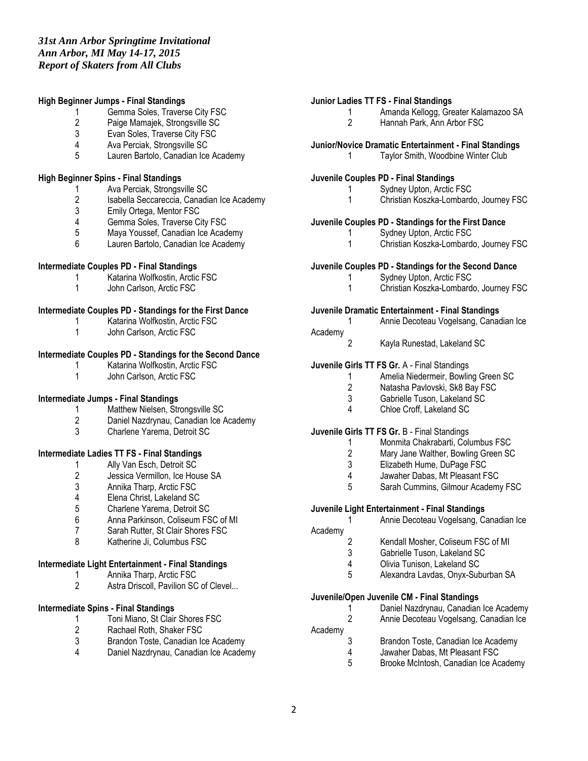#### **High Beginner Jumps - Final Standings**

- 1 Gemma Soles, Traverse City FSC<br>2 Paige Mamaiek. Strongsville SC
- 2 Paige Mamajek, Strongsville SC<br>3 Evan Soles. Traverse City FSC
- Evan Soles, Traverse City FSC
- 4 Ava Perciak, Strongsville SC<br>5 Lauren Bartolo, Canadian Ice
- Lauren Bartolo, Canadian Ice Academy

#### **High Beginner Spins - Final Standings**

- 1 Ava Perciak, Strongsville SC<br>2 Isabella Seccareccia, Canadia
- 2 Isabella Seccareccia, Canadian Ice Academy<br>3 Emily Ortega, Mentor FSC
- 3 Emily Ortega, Mentor FSC
- 4 Gemma Soles, Traverse City FSC<br>5 Mava Youssef. Canadian Ice Acad
- 5 Maya Youssef, Canadian Ice Academy<br>6 Lauren Bartolo Canadian Ice Academy
- Lauren Bartolo, Canadian Ice Academy

#### **Intermediate Couples PD - Final Standings**

- 1 Katarina Wolfkostin, Arctic FSC
- 1 John Carlson, Arctic FSC

#### **Intermediate Couples PD - Standings for the First Dance**

- 1 Katarina Wolfkostin, Arctic FSC
- 1 John Carlson, Arctic FSC

# **Intermediate Couples PD - Standings for the Second Dance**

- 1 Katarina Wolfkostin, Arctic FSC
- 1 John Carlson, Arctic FSC

#### **Intermediate Jumps - Final Standings**

- 1 Matthew Nielsen, Strongsville SC<br>2 Daniel Nazdrvnau. Canadian Ice A
- Daniel Nazdrynau, Canadian Ice Academy
- 3 Charlene Yarema, Detroit SC

# **Intermediate Ladies TT FS - Final Standings**

- 
- 1 Ally Van Esch, Detroit SC<br>2 Jessica Vermillon, Ice Hou 2 Jessica Vermillon, Ice House SA<br>3 Annika Tharp, Arctic FSC
- 3 Annika Tharp, Arctic FSC<br>4 Elena Christ. Lakeland SC
- 4 Elena Christ, Lakeland SC<br>5 Charlene Yarema, Detroit 9
- 5 Charlene Yarema, Detroit SC<br>6 Anna Parkinson. Coliseum FS
- Anna Parkinson, Coliseum FSC of MI
- 7 Sarah Rutter, St Clair Shores FSC
- 8 Katherine Ji, Columbus FSC

# **Intermediate Light Entertainment - Final Standings**

- 1 Annika Tharp, Arctic FSC
- 2 Astra Driscoll, Pavilion SC of Clevel...

# **Intermediate Spins - Final Standings**

- 1 Toni Miano, St Clair Shores FSC<br>2 Rachael Roth, Shaker FSC
- 2 Rachael Roth, Shaker FSC<br>3 Brandon Toste, Canadian Io
- Brandon Toste, Canadian Ice Academy
- 4 Daniel Nazdrynau, Canadian Ice Academy

#### **Junior Ladies TT FS - Final Standings**

- 1 Amanda Kellogg, Greater Kalamazoo SA<br>2 Hannah Park, Ann Arbor FSC
	- Hannah Park, Ann Arbor FSC

# **Junior/Novice Dramatic Entertainment - Final Standings**

1 Taylor Smith, Woodbine Winter Club

#### **Juvenile Couples PD - Final Standings**

- 1 Sydney Upton, Arctic FSC
- 1 Christian Koszka-Lombardo, Journey FSC

# **Juvenile Couples PD - Standings for the First Dance**

- 1 Sydney Upton, Arctic FSC
	- 1 Christian Koszka-Lombardo, Journey FSC

#### **Juvenile Couples PD - Standings for the Second Dance**

- 1 Sydney Upton, Arctic FSC
- 1 Christian Koszka-Lombardo, Journey FSC

#### **Juvenile Dramatic Entertainment - Final Standings**

1 Annie Decoteau Vogelsang, Canadian Ice

# Academy

2 Kayla Runestad, Lakeland SC

#### **Juvenile Girls TT FS Gr.** A - Final Standings

- 1 Amelia Niedermeir, Bowling Green SC<br>2 Natasha Pavlovski, Sk8 Bav FSC
- Natasha Pavlovski, Sk8 Bay FSC
- 3 Gabrielle Tuson, Lakeland SC
- 4 Chloe Croff, Lakeland SC

#### **Juvenile Girls TT FS Gr.** B - Final Standings

- 1 Monmita Chakrabarti, Columbus FSC<br>2 Mary Jane Walther. Bowling Green SC
- Mary Jane Walther, Bowling Green SC
- 3 Elizabeth Hume, DuPage FSC
- 4 Jawaher Dabas, Mt Pleasant FSC<br>5 Sarah Cummins. Gilmour Academ
- 5 Sarah Cummins, Gilmour Academy FSC

#### **Juvenile Light Entertainment - Final Standings**

1 Annie Decoteau Vogelsang, Canadian Ice Academy

- 
- 2 Kendall Mosher, Coliseum FSC of MI<br>3 Gabrielle Tuson. Lakeland SC 3 Gabrielle Tuson, Lakeland SC
- 4 Olivia Tunison, Lakeland SC
- 
- 5 Alexandra Lavdas, Onyx-Suburban SA

# **Juvenile/Open Juvenile CM - Final Standings**

- 1 Daniel Nazdrynau, Canadian Ice Academy 2 Annie Decoteau Vogelsang, Canadian Ice
- Academy
- 3 Brandon Toste, Canadian Ice Academy
- 4 Jawaher Dabas, Mt Pleasant FSC<br>5 Brooke McIntosh, Canadian Ice Ac
- 5 Brooke McIntosh, Canadian Ice Academy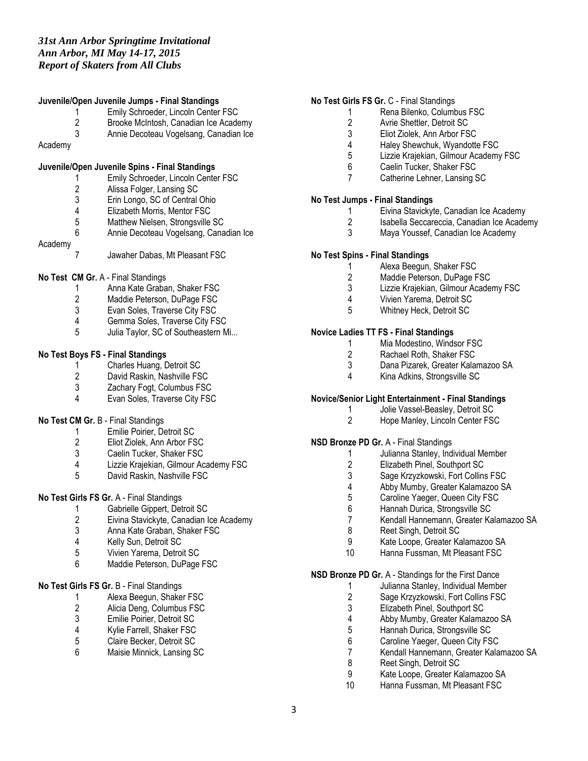#### **Juvenile/Open Juvenile Jumps - Final Standings**

- 1 Emily Schroeder, Lincoln Center FSC<br>2 Brooke McIntosh, Canadian Ice Acade
- 2 Brooke McIntosh, Canadian Ice Academy<br>3 Annie Decoteau Vogelsang, Canadian Ice
- Annie Decoteau Vogelsang, Canadian Ice
- Academy

#### **Juvenile/Open Juvenile Spins - Final Standings**

- 1 Emily Schroeder, Lincoln Center FSC
- 
- 2 Alissa Folger, Lansing SC<br>3 Erin Longo, SC of Central
- 3 Erin Longo, SC of Central Ohio<br>4 Elizabeth Morris. Mentor FSC
- 4 Elizabeth Morris, Mentor FSC<br>5 Matthew Nielsen. Strongsville
- 5 Matthew Nielsen, Strongsville SC<br>6 Annie Decoteau Vogelsang, Cana 6 Annie Decoteau Vogelsang, Canadian Ice

# Academy

7 Jawaher Dabas, Mt Pleasant FSC

#### **No Test CM Gr.** A - Final Standings

- 1 Anna Kate Graban, Shaker FSC<br>2 Maddie Peterson. DuPage FSC
- Maddie Peterson, DuPage FSC
- 3 Evan Soles, Traverse City FSC<br>4 Gemma Soles Traverse City FS
- Gemma Soles, Traverse City FSC
- 5 Julia Taylor, SC of Southeastern Mi...

# **No Test Boys FS - Final Standings**

- 1 Charles Huang, Detroit SC<br>2 David Raskin. Nashville FS
- 2 David Raskin, Nashville FSC<br>3 Zachary Foat. Columbus FSC
- Zachary Fogt, Columbus FSC
- 4 Evan Soles, Traverse City FSC

#### **No Test CM Gr.** B - Final Standings

- 1 Emilie Poirier, Detroit SC
- 2 Eliot Ziolek, Ann Arbor FSC<br>3 Caelin Tucker, Shaker FSC
- Caelin Tucker, Shaker FSC
- 4 Lizzie Krajekian, Gilmour Academy FSC
- 5 David Raskin, Nashville FSC

#### **No Test Girls FS Gr.** A - Final Standings

- 1 Gabrielle Gippert, Detroit SC<br>2 Eivina Stavickyte. Canadian Id
- 2 Eivina Stavickyte, Canadian Ice Academy<br>3 Anna Kate Graban, Shaker FSC
- Anna Kate Graban, Shaker FSC
- 4 Kelly Sun, Detroit SC<br>5 Vivien Yarema. Detroi
- 5 Vivien Yarema, Detroit SC
- 6 Maddie Peterson, DuPage FSC

# **No Test Girls FS Gr.** B - Final Standings

- 1 Alexa Beegun, Shaker FSC<br>2 Alicia Deng, Columbus FSC
- 2 Alicia Deng, Columbus FSC<br>3 Emilie Poirier, Detroit SC
- 3 Emilie Poirier, Detroit SC<br>4 Kylie Farrell, Shaker FSC
- 4 Kylie Farrell, Shaker FSC<br>5 Claire Becker. Detroit SC
- 5 Claire Becker, Detroit SC
- 6 Maisie Minnick, Lansing SC

#### **No Test Girls FS Gr.** C - Final Standings

- 1 Rena Bilenko, Columbus FSC<br>2 Avrie Shettler. Detroit SC
- 2 Avrie Shettler, Detroit SC<br>3 Eliot Ziolek. Ann Arbor FS
- Eliot Ziolek, Ann Arbor FSC
- 4 Haley Shewchuk, Wyandotte FSC<br>5 Lizzie Kraiekian. Gilmour Academy
- Lizzie Krajekian, Gilmour Academy FSC
- 6 Caelin Tucker, Shaker FSC
- 7 Catherine Lehner, Lansing SC

#### **No Test Jumps - Final Standings**

- 1 Eivina Stavickyte, Canadian Ice Academy
- 2 Isabella Seccareccia, Canadian Ice Academy<br>3 Mava Youssef. Canadian Ice Academy
- Maya Youssef, Canadian Ice Academy

# **No Test Spins - Final Standings**

- 1 Alexa Beegun, Shaker FSC
- 2 Maddie Peterson, DuPage FSC
- 3 Lizzie Krajekian, Gilmour Academy FSC
- 4 Vivien Yarema, Detroit SC
- 5 Whitney Heck, Detroit SC

# **Novice Ladies TT FS - Final Standings**

- 1 Mia Modestino, Windsor FSC<br>2 Rachael Roth, Shaker FSC
- 2 Rachael Roth, Shaker FSC<br>3 Dana Pizarek, Greater Kalar
- 3 Dana Pizarek, Greater Kalamazoo SA<br>4 Kina Adkins, Strongsville SC
- 4 Kina Adkins, Strongsville SC

#### **Novice/Senior Light Entertainment - Final Standings**

- 1 Jolie Vassel-Beasley, Detroit SC<br>2 Hope Manley, Lincoln Center FSO
- Hope Manley, Lincoln Center FSC

#### **NSD Bronze PD Gr.** A - Final Standings

- 1 Julianna Stanley, Individual Member
- 2 Elizabeth Pinel, Southport SC
- 3 Sage Krzyzkowski, Fort Collins FSC<br>4 Abby Mumby. Greater Kalamazoo SA
- 4 Abby Mumby, Greater Kalamazoo SA<br>5 Caroline Yaeger. Queen City FSC
- Caroline Yaeger, Queen City FSC
- 6 Hannah Durica, Strongsville SC
- 7 Kendall Hannemann, Greater Kalamazoo SA
- 8 Reet Singh, Detroit SC
- 9 Kate Loope, Greater Kalamazoo SA
- 10 Hanna Fussman, Mt Pleasant FSC

#### **NSD Bronze PD Gr.** A - Standings for the First Dance

- 1 Julianna Stanley, Individual Member<br>2 Sage Krzyzkowski, Fort Collins FSC
- 2 Sage Krzyzkowski, Fort Collins FSC<br>3 Elizabeth Pinel, Southport SC
- Elizabeth Pinel, Southport SC
- 4 Abby Mumby, Greater Kalamazoo SA
- 5 Hannah Durica, Strongsville SC<br>6 Caroline Yaeger, Queen City FS
- Caroline Yaeger, Queen City FSC
- 7 Kendall Hannemann, Greater Kalamazoo SA
- 8 Reet Singh, Detroit SC<br>9 Kate Loope, Greater Ka
- 9 Kate Loope, Greater Kalamazoo SA
- 10 Hanna Fussman, Mt Pleasant FSC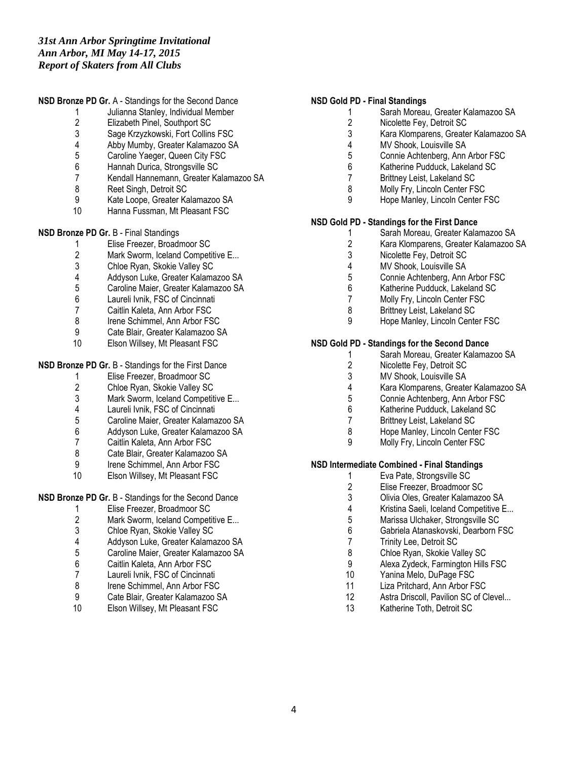# **NSD Bronze PD Gr.** A - Standings for the Second Dance

- 1 Julianna Stanley, Individual Member<br>2 Elizabeth Pinel. Southport SC
- 2 Elizabeth Pinel, Southport SC<br>3 Sage Krzyzkowski, Fort Collins
- Sage Krzyzkowski, Fort Collins FSC
- 4 Abby Mumby, Greater Kalamazoo SA<br>5 Caroline Yaeger. Queen City FSC
- 5 Caroline Yaeger, Queen City FSC<br>6 Hannah Durica. Strongsville SC
- 6 Hannah Durica, Strongsville SC
- 7 Kendall Hannemann, Greater Kalamazoo SA
- 8 Reet Singh, Detroit SC<br>9 Kate Loope Greater Ka
- 9 Kate Loope, Greater Kalamazoo SA
- 10 Hanna Fussman, Mt Pleasant FSC

# **NSD Bronze PD Gr.** B - Final Standings

- 1 Elise Freezer, Broadmoor SC
- 2 Mark Sworm, Iceland Competitive E...<br>3 Chloe Rvan. Skokie Vallev SC
- 3 Chloe Ryan, Skokie Valley SC<br>4 Addyson Luke Greater Kalama
- 4 Addyson Luke, Greater Kalamazoo SA
- 5 Caroline Maier, Greater Kalamazoo SA<br>6 Laureli Ivnik. FSC of Cincinnati
- Laureli Ivnik, FSC of Cincinnati
- 7 Caitlin Kaleta, Ann Arbor FSC<br>8 Irene Schimmel Ann Arbor FS
- Irene Schimmel, Ann Arbor FSC
- 9 Cate Blair, Greater Kalamazoo SA<br>10 Elson Willsey, Mt Pleasant FSC
- Elson Willsey, Mt Pleasant FSC

#### **NSD Bronze PD Gr. B - Standings for the First Dance**

- 1 Elise Freezer, Broadmoor SC<br>2 Chloe Rvan, Skokie Vallev SC
- 2 Chloe Ryan, Skokie Valley SC
- 3 Mark Sworm, Iceland Competitive E...<br>4 Laureli Ivnik, FSC of Cincinnati
- 4 Laureli Ivnik, FSC of Cincinnati<br>5 Caroline Maier. Greater Kalama
- 5 Caroline Maier, Greater Kalamazoo SA
- 6 Addyson Luke, Greater Kalamazoo SA
- 7 Caitlin Kaleta, Ann Arbor FSC<br>8 Cate Blair. Greater Kalamazoc
- Cate Blair, Greater Kalamazoo SA
- 9 Irene Schimmel, Ann Arbor FSC
- 10 Elson Willsey, Mt Pleasant FSC

# **NSD Bronze PD Gr. B - Standings for the Second Dance**

- 1 Elise Freezer, Broadmoor SC<br>2 Mark Sworm, Iceland Competi
- 2 Mark Sworm, Iceland Competitive E...<br>3 Chloe Ryan, Skokie Valley SC
- 3 Chloe Ryan, Skokie Valley SC
- 
- 4 Addyson Luke, Greater Kalamazoo SA<br>5 Caroline Maier. Greater Kalamazoo SA 5 Caroline Maier, Greater Kalamazoo SA
- 6 Caitlin Kaleta, Ann Arbor FSC
- 7 Laureli Ivnik, FSC of Cincinnati
- 
- 8 Irene Schimmel, Ann Arbor FSC<br>9 Cate Blair, Greater Kalamazoo S 9 Cate Blair, Greater Kalamazoo SA<br>10 Flson Willsey Mt Pleasant FSC
- Elson Willsey, Mt Pleasant FSC

# **NSD Gold PD - Final Standings**

- 1 Sarah Moreau, Greater Kalamazoo SA<br>2 Nicolette Fev. Detroit SC
- 2 Nicolette Fey, Detroit SC<br>3 Kara Klomparens, Greate
- 3 Kara Klomparens, Greater Kalamazoo SA
- 
- 4 MV Shook, Louisville SA<br>5 Connie Achtenberg, Ann 5 Connie Achtenberg, Ann Arbor FSC<br>6 Katherine Pudduck Lakeland SC
- Katherine Pudduck, Lakeland SC
- 7 Brittney Leist, Lakeland SC
- 8 Molly Fry, Lincoln Center FSC
- 9 Hope Manley, Lincoln Center FSC

#### **NSD Gold PD - Standings for the First Dance**

- 1 Sarah Moreau, Greater Kalamazoo SA<br>2 Kara Klomparens. Greater Kalamazoo S
	- 2 Kara Klomparens, Greater Kalamazoo SA
- 3 Nicolette Fey, Detroit SC
- 
- 4 MV Shook, Louisville SA<br>5 Connie Achtenberg Ann 5 Connie Achtenberg, Ann Arbor FSC
- 6 Katherine Pudduck, Lakeland SC<br>7 Molly Fry. Lincoln Center FSC
- Molly Fry, Lincoln Center FSC
- 8 Brittney Leist, Lakeland SC
- 9 Hope Manley, Lincoln Center FSC

# **NSD Gold PD - Standings for the Second Dance**

- 1 Sarah Moreau, Greater Kalamazoo SA<br>2 Nicolette Fey, Detroit SC
- 2 Nicolette Fey, Detroit SC<br>3 MV Shook, Louisville SA
- 3 MV Shook, Louisville SA<br>4 Kara Klomparens, Greate
- 4 Kara Klomparens, Greater Kalamazoo SA
- 5 Connie Achtenberg, Ann Arbor FSC
- 6 Katherine Pudduck, Lakeland SC<br>7 Brittnev Leist, Lakeland SC
- Brittney Leist, Lakeland SC
- 8 Hope Manley, Lincoln Center FSC
- 9 Molly Fry, Lincoln Center FSC

# **NSD Intermediate Combined - Final Standings**

- 1 Eva Pate, Strongsville SC<br>2 Elise Freezer. Broadmoor
- 2 Elise Freezer, Broadmoor SC<br>3 Olivia Oles. Greater Kalamazo
- 3 Olivia Oles, Greater Kalamazoo SA
- 
- 4 Kristina Saeli, Iceland Competitive E...<br>5 Marissa Ulchaker. Strongsville SC 5 Marissa Ulchaker, Strongsville SC<br>6 Gabriela Atanaskovski, Dearborn F
- 6 Gabriela Atanaskovski, Dearborn FSC
- 7 Trinity Lee, Detroit SC<br>8 Chloe Ryan, Skokie Va
- Chloe Ryan, Skokie Valley SC
- 9 Alexa Zydeck, Farmington Hills FSC<br>10 Yanina Melo DuPage FSC
- Yanina Melo, DuPage FSC
- 11 Liza Pritchard, Ann Arbor FSC
- 12 Astra Driscoll, Pavilion SC of Clevel...<br>13 Katherine Toth Detroit SC
- Katherine Toth, Detroit SC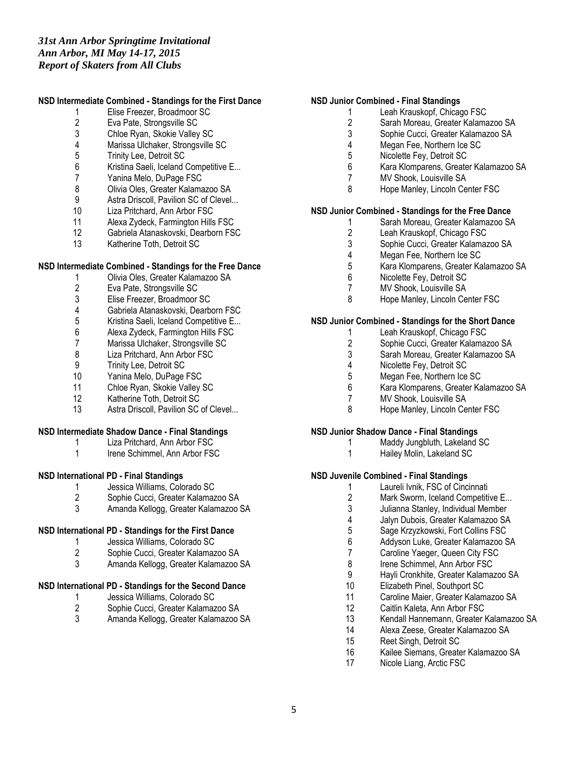#### **NSD Intermediate Combined - Standings for the First Dance**

- 1 Elise Freezer, Broadmoor SC<br>2 Eva Pate. Strongsville SC
- 2 Eva Pate, Strongsville SC<br>3 Chloe Rvan, Skokie Vallev
- 3 Chloe Ryan, Skokie Valley SC
- 4 Marissa Ulchaker, Strongsville SC<br>5 Trinity Lee. Detroit SC
- 5 Trinity Lee, Detroit SC<br>6 Kristina Saeli, Iceland (
- Kristina Saeli, Iceland Competitive E...
- 7 Yanina Melo, DuPage FSC
- 8 Olivia Oles, Greater Kalamazoo SA<br>9 Astra Driscoll, Pavilion SC of Clevel.
- Astra Driscoll, Pavilion SC of Clevel...
- 10 Liza Pritchard, Ann Arbor FSC
- 11 Alexa Zydeck, Farmington Hills FSC<br>12 Gabriela Atanaskovski. Dearborn FS
- Gabriela Atanaskovski, Dearborn FSC
- 13 Katherine Toth, Detroit SC

#### **NSD Intermediate Combined - Standings for the Free Dance**

- 1 Olivia Oles, Greater Kalamazoo SA
- 2 Eva Pate, Strongsville SC<br>3 Elise Freezer. Broadmoor
- 3 Elise Freezer, Broadmoor SC<br>4 Gabriela Atanaskovski Dearb
- 4 Gabriela Atanaskovski, Dearborn FSC<br>5 Kristina Saeli, Iceland Competitive E...
- Kristina Saeli, Iceland Competitive E...
- 6 Alexa Zydeck, Farmington Hills FSC
- 7 Marissa Ulchaker, Strongsville SC<br>8 Liza Pritchard, Ann Arbor FSC
- Liza Pritchard, Ann Arbor FSC
- 9 Trinity Lee, Detroit SC<br>10 Yanina Melo, DuPage
- Yanina Melo, DuPage FSC
- 11 Chloe Ryan, Skokie Valley SC
- 12 Katherine Toth, Detroit SC
- 13 Astra Driscoll, Pavilion SC of Clevel...

# **NSD Intermediate Shadow Dance - Final Standings**

- 1 Liza Pritchard, Ann Arbor FSC
- 1 Irene Schimmel, Ann Arbor FSC

# **NSD International PD - Final Standings**

- 1 Jessica Williams, Colorado SC<br>2 Sophie Cucci. Greater Kalamaz
- 2 Sophie Cucci, Greater Kalamazoo SA
- 3 Amanda Kellogg, Greater Kalamazoo SA

# **NSD International PD - Standings for the First Dance**

- 1 Jessica Williams, Colorado SC<br>2 Sophie Cucci. Greater Kalamaz
- 2 Sophie Cucci, Greater Kalamazoo SA
- 3 Amanda Kellogg, Greater Kalamazoo SA

# **NSD International PD - Standings for the Second Dance**

- 1 Jessica Williams, Colorado SC<br>2 Sophie Cucci. Greater Kalamaz
- 2 Sophie Cucci, Greater Kalamazoo SA<br>3 Amanda Kellogg. Greater Kalamazoo S
- 3 Amanda Kellogg, Greater Kalamazoo SA

# **NSD Junior Combined - Final Standings**

- 1 Leah Krauskopf, Chicago FSC<br>2 Sarah Moreau. Greater Kalama
	- 2 Sarah Moreau, Greater Kalamazoo SA<br>3 Sophie Cucci, Greater Kalamazoo SA
	- 3 Sophie Cucci, Greater Kalamazoo SA
	- 4 Megan Fee, Northern Ice SC<br>5 Nicolette Fev. Detroit SC
	- 5 Nicolette Fey, Detroit SC<br>6 Kara Klomparens, Greate
	- 6 Kara Klomparens, Greater Kalamazoo SA
	- 7 MV Shook, Louisville SA
	- 8 Hope Manley, Lincoln Center FSC

# **NSD Junior Combined - Standings for the Free Dance**

- 1 Sarah Moreau, Greater Kalamazoo SA<br>2 Leah Krauskopf. Chicago FSC
- 2 Leah Krauskopf, Chicago FSC<br>3 Sophie Cucci. Greater Kalamaz
- 3 Sophie Cucci, Greater Kalamazoo SA
- 4 Megan Fee, Northern Ice SC<br>5 Kara Klomparens. Greater Ka
- 5 Kara Klomparens, Greater Kalamazoo SA
- 6 Nicolette Fey, Detroit SC
- 7 MV Shook, Louisville SA
- 8 Hope Manley, Lincoln Center FSC

# **NSD Junior Combined - Standings for the Short Dance**

- 1 Leah Krauskopf, Chicago FSC<br>2 Sophie Cucci. Greater Kalamaz
- 2 Sophie Cucci, Greater Kalamazoo SA<br>3 Sarah Moreau, Greater Kalamazoo SA
- 3 Sarah Moreau, Greater Kalamazoo SA
- 4 Nicolette Fey, Detroit SC<br>5 Meaan Fee. Northern Ice
- 5 Megan Fee, Northern Ice SC<br>6 Kara Klomparens, Greater Ka
- 6 Kara Klomparens, Greater Kalamazoo SA
- 7 MV Shook, Louisville SA
- 8 Hope Manley, Lincoln Center FSC

# **NSD Junior Shadow Dance - Final Standings**

- 1 Maddy Jungbluth, Lakeland SC
- 1 Hailey Molin, Lakeland SC

# **NSD Juvenile Combined - Final Standings**

- 1 Laureli Ivnik, FSC of Cincinnati<br>2 Mark Sworm, Iceland Competiti
- Mark Sworm, Iceland Competitive E...
- 3 Julianna Stanley, Individual Member
- 4 Jalyn Dubois, Greater Kalamazoo SA<br>5 Sage Krzyzkowski, Fort Collins FSC
- 5 Sage Krzyzkowski, Fort Collins FSC
- 6 Addyson Luke, Greater Kalamazoo SA<br>7 Caroline Yaeger, Queen City FSC
- Caroline Yaeger, Queen City FSC
- 8 Irene Schimmel, Ann Arbor FSC
- 9 Hayli Cronkhite, Greater Kalamazoo SA
- 10 Elizabeth Pinel, Southport SC
- 11 Caroline Maier, Greater Kalamazoo SA<br>12 Caitlin Kaleta. Ann Arbor FSC
- Caitlin Kaleta, Ann Arbor FSC
- 13 Kendall Hannemann, Greater Kalamazoo SA
- 14 Alexa Zeese, Greater Kalamazoo SA<br>15 Reet Singh, Detroit SC
- Reet Singh, Detroit SC
- 16 Kailee Siemans, Greater Kalamazoo SA
- 17 Nicole Liang, Arctic FSC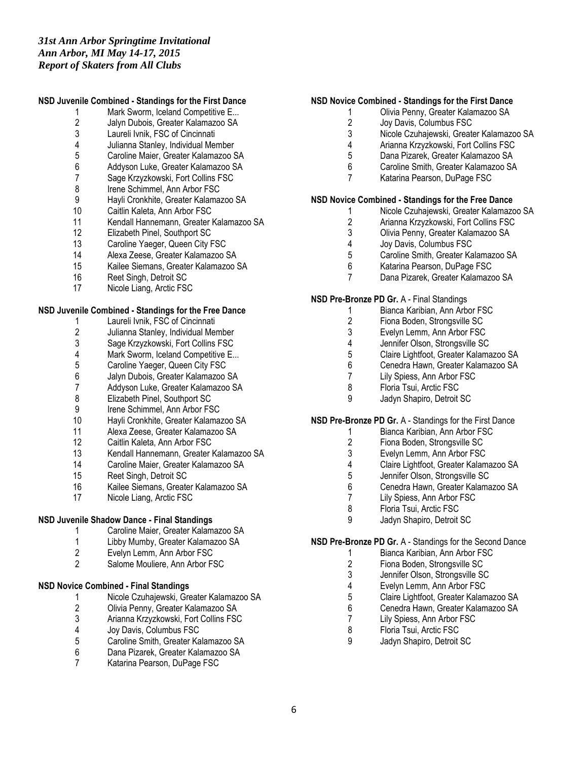# **NSD Juvenile Combined - Standings for the First Dance**

- 1 Mark Sworm, Iceland Competitive E...<br>2 Jalyn Dubois. Greater Kalamazoo SA
- 2 Jalyn Dubois, Greater Kalamazoo SA<br>3 Laureli Ivnik. FSC of Cincinnati
- Laureli Ivnik, FSC of Cincinnati
- 4 Julianna Stanley, Individual Member<br>5 Caroline Maier. Greater Kalamazoo S
- 5 Caroline Maier, Greater Kalamazoo SA
- 6 Addyson Luke, Greater Kalamazoo SA
- 7 Sage Krzyzkowski, Fort Collins FSC
- 8 Irene Schimmel, Ann Arbor FSC<br>9 Havli Cronkhite, Greater Kalama:
- 9 Hayli Cronkhite, Greater Kalamazoo SA
- 10 Caitlin Kaleta, Ann Arbor FSC
- 11 Kendall Hannemann, Greater Kalamazoo SA<br>12 Elizabeth Pinel. Southport SC
- Elizabeth Pinel, Southport SC
- 13 Caroline Yaeger, Queen City FSC
- 14 Alexa Zeese, Greater Kalamazoo SA
- 15 Kailee Siemans, Greater Kalamazoo SA
- 16 Reet Singh, Detroit SC
- 17 Nicole Liang, Arctic FSC

#### **NSD Juvenile Combined - Standings for the Free Dance**

- 1 Laureli Ivnik, FSC of Cincinnati
- 2 Julianna Stanley, Individual Member<br>3 Sage Krzyzkowski, Fort Collins FSC
- 3 Sage Krzyzkowski, Fort Collins FSC<br>4 Mark Sworm, Iceland Competitive E.
- 4 Mark Sworm, Iceland Competitive E...<br>5 Caroline Yaeger, Queen City FSC
- 5 Caroline Yaeger, Queen City FSC<br>6 Jalyn Dubois. Greater Kalamazoo
- 6 Jalyn Dubois, Greater Kalamazoo SA
- 7 Addyson Luke, Greater Kalamazoo SA<br>8 Elizabeth Pinel, Southport SC
- 8 Elizabeth Pinel, Southport SC
- 
- 9 Irene Schimmel, Ann Arbor FSC<br>10 Havli Cronkhite. Greater Kalama: Hayli Cronkhite, Greater Kalamazoo SA
- 11 Alexa Zeese, Greater Kalamazoo SA
- 12 Caitlin Kaleta, Ann Arbor FSC
- 13 Kendall Hannemann, Greater Kalamazoo SA
- 14 Caroline Maier, Greater Kalamazoo SA
- 15 Reet Singh, Detroit SC<br>16 Kailee Siemans, Greate
- Kailee Siemans, Greater Kalamazoo SA
- 17 Nicole Liang, Arctic FSC

# **NSD Juvenile Shadow Dance - Final Standings**

- 1 Caroline Maier, Greater Kalamazoo SA
- 1 Libby Mumby, Greater Kalamazoo SA<br>2 Evelvn Lemm. Ann Arbor FSC
- Evelyn Lemm, Ann Arbor FSC
- 2 Salome Mouliere, Ann Arbor FSC

# **NSD Novice Combined - Final Standings**

- 1 Nicole Czuhajewski, Greater Kalamazoo SA<br>2 Olivia Penny, Greater Kalamazoo SA
- 2 Olivia Penny, Greater Kalamazoo SA<br>3 Arianna Krzyzkowski, Fort Collins FSC
- 3 Arianna Krzyzkowski, Fort Collins FSC<br>4 Joy Davis, Columbus FSC
- 4 Joy Davis, Columbus FSC<br>5 Caroline Smith. Greater Ka
- 5 Caroline Smith, Greater Kalamazoo SA
- 6 Dana Pizarek, Greater Kalamazoo SA
- 7 Katarina Pearson, DuPage FSC

#### **NSD Novice Combined - Standings for the First Dance**

- 1 Olivia Penny, Greater Kalamazoo SA<br>2 Jov Davis. Columbus FSC
- 2 Joy Davis, Columbus FSC<br>3 Nicole Czuhaiewski. Greate
- Nicole Czuhajewski, Greater Kalamazoo SA
- 4 Arianna Krzyzkowski, Fort Collins FSC<br>5 Dana Pizarek, Greater Kalamazoo SA
- 5 Dana Pizarek, Greater Kalamazoo SA
- 6 Caroline Smith, Greater Kalamazoo SA
- 7 Katarina Pearson, DuPage FSC

# **NSD Novice Combined - Standings for the Free Dance**

- 1 Nicole Czuhajewski, Greater Kalamazoo SA
- 2 Arianna Krzyzkowski, Fort Collins FSC<br>3 Olivia Penny. Greater Kalamazoo SA
- 3 Olivia Penny, Greater Kalamazoo SA<br>4 Jov Davis. Columbus FSC
- Joy Davis, Columbus FSC
- 5 Caroline Smith, Greater Kalamazoo SA
- 6 Katarina Pearson, DuPage FSC
- 7 Dana Pizarek, Greater Kalamazoo SA

#### **NSD Pre-Bronze PD Gr.** A - Final Standings

- 1 Bianca Karibian, Ann Arbor FSC
- 2 Fiona Boden, Strongsville SC
- 
- 3 Evelyn Lemm, Ann Arbor FSC<br>4 Jennifer Olson, Stronasville SC
- 4 Jennifer Olson, Strongsville SC<br>5 Claire Lightfoot, Greater Kalama 5 Claire Lightfoot, Greater Kalamazoo SA
- 6 Cenedra Hawn, Greater Kalamazoo SA<br>7 Lily Spiess. Ann Arbor FSC
- 7 Lily Spiess, Ann Arbor FSC<br>8 Floria Tsui. Arctic FSC
- 8 Floria Tsui, Arctic FSC
- 9 Jadyn Shapiro, Detroit SC

# **NSD Pre-Bronze PD Gr.** A - Standings for the First Dance

- 1 Bianca Karibian, Ann Arbor FSC
- 2 Fiona Boden, Strongsville SC<br>3 Evelvn Lemm. Ann Arbor FSC
- Evelyn Lemm, Ann Arbor FSC
- 4 Claire Lightfoot, Greater Kalamazoo SA
- 5 Jennifer Olson, Strongsville SC<br>6 Cenedra Hawn, Greater Kalama
- 6 Cenedra Hawn, Greater Kalamazoo SA<br>7 Lily Spiess. Ann Arbor FSC
- Lily Spiess, Ann Arbor FSC
- 8 Floria Tsui, Arctic FSC
- 9 Jadyn Shapiro, Detroit SC

#### **NSD Pre-Bronze PD Gr.** A - Standings for the Second Dance

- 1 Bianca Karibian, Ann Arbor FSC
- 2 Fiona Boden, Strongsville SC<br>3 Jennifer Olson, Strongsville SC
- Jennifer Olson, Strongsville SC
- 4 Evelyn Lemm, Ann Arbor FSC<br>5 Claire Lightfoot, Greater Kalam
- 5 Claire Lightfoot, Greater Kalamazoo SA
- 6 Cenedra Hawn, Greater Kalamazoo SA
- 7 Lily Spiess, Ann Arbor FSC<br>8 Floria Tsui, Arctic FSC
- 8 Floria Tsui, Arctic FSC<br>9 Jadyn Shapiro Detroit
- Jadyn Shapiro, Detroit SC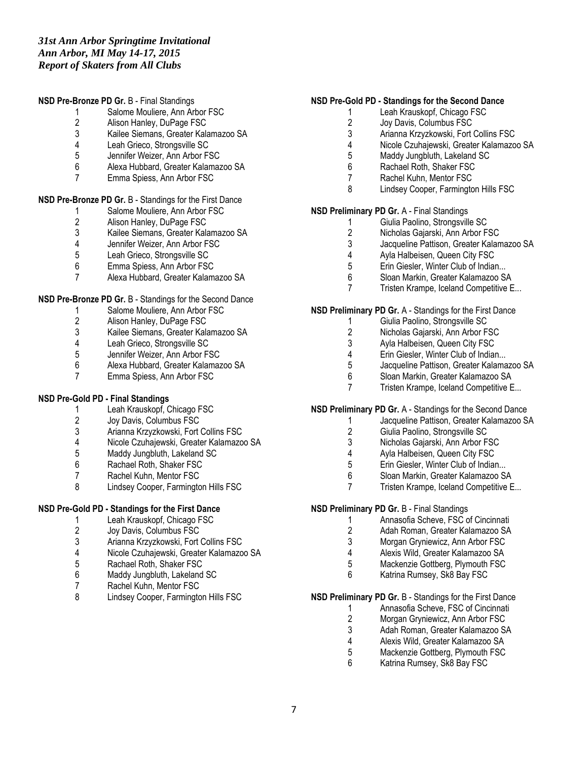#### **NSD Pre-Bronze PD Gr.** B - Final Standings

- 1 Salome Mouliere, Ann Arbor FSC<br>2 Alison Hanlev. DuPage FSC
- 2 Alison Hanley, DuPage FSC<br>3 Kailee Siemans. Greater Kala
- 3 Kailee Siemans, Greater Kalamazoo SA
- 4 Leah Grieco, Strongsville SC<br>5 Jennifer Weizer. Ann Arbor FS
- 5 Jennifer Weizer, Ann Arbor FSC
- 6 Alexa Hubbard, Greater Kalamazoo SA
- 7 Emma Spiess, Ann Arbor FSC

# **NSD Pre-Bronze PD Gr.** B - Standings for the First Dance

- 1 Salome Mouliere, Ann Arbor FSC
- 2 Alison Hanley, DuPage FSC<br>3 Kailee Siemans, Greater Kala
- 3 Kailee Siemans, Greater Kalamazoo SA<br>4 Jennifer Weizer, Ann Arbor FSC
- 4 Jennifer Weizer, Ann Arbor FSC<br>5 Leah Grieco. Strongsville SC
- 5 Leah Grieco, Strongsville SC<br>6 Emma Spiess. Ann Arbor FSC
- Emma Spiess, Ann Arbor FSC
- 7 Alexa Hubbard, Greater Kalamazoo SA

# **NSD Pre-Bronze PD Gr. B - Standings for the Second Dance**

- 1 Salome Mouliere, Ann Arbor FSC
- 2 Alison Hanley, DuPage FSC<br>3 Kailee Siemans. Greater Kala
- 3 Kailee Siemans, Greater Kalamazoo SA
- 4 Leah Grieco, Strongsville SC<br>5 Jennifer Weizer. Ann Arbor FS
- Jennifer Weizer, Ann Arbor FSC
- 6 Alexa Hubbard, Greater Kalamazoo SA
- 7 Emma Spiess, Ann Arbor FSC

# **NSD Pre-Gold PD - Final Standings**

- 1 Leah Krauskopf, Chicago FSC<br>2 Jov Davis. Columbus FSC
- Joy Davis, Columbus FSC
- 3 Arianna Krzyzkowski, Fort Collins FSC<br>4 Nicole Czuhajewski, Greater Kalamazo
- 4 Nicole Czuhajewski, Greater Kalamazoo SA
- Maddy Jungbluth, Lakeland SC
- 6 Rachael Roth, Shaker FSC
- 7 Rachel Kuhn, Mentor FSC<br>8 Lindsev Cooper. Farmingto
- Lindsey Cooper, Farmington Hills FSC

# **NSD Pre-Gold PD - Standings for the First Dance**

- 1 Leah Krauskopf, Chicago FSC<br>2 Jov Davis. Columbus FSC
- Joy Davis, Columbus FSC
- 3 Arianna Krzyzkowski, Fort Collins FSC<br>4 Nicole Czuhajewski, Greater Kalamazo
- 4 Nicole Czuhajewski, Greater Kalamazoo SA
- 5 Rachael Roth, Shaker FSC
- 6 Maddy Jungbluth, Lakeland SC
- 7 Rachel Kuhn, Mentor FSC<br>8 Lindsey Cooper, Farmingto
- 8 Lindsey Cooper, Farmington Hills FSC

# **NSD Pre-Gold PD - Standings for the Second Dance**

- 1 Leah Krauskopf, Chicago FSC<br>2 Jov Davis. Columbus FSC
- 2 Joy Davis, Columbus FSC<br>3 Arianna Krzyzkowski. Fort
- 3 Arianna Krzyzkowski, Fort Collins FSC
- 4 Nicole Czuhajewski, Greater Kalamazoo SA
- Maddy Jungbluth, Lakeland SC
- 6 Rachael Roth, Shaker FSC
- 7 Rachel Kuhn, Mentor FSC
- 8 Lindsey Cooper, Farmington Hills FSC

# **NSD Preliminary PD Gr.** A - Final Standings

- 1 Giulia Paolino, Strongsville SC<br>2 Nicholas Gaiarski, Ann Arbor F
- 2 Nicholas Gajarski, Ann Arbor FSC<br>3 Jacqueline Pattison. Greater Kalam
- Jacqueline Pattison, Greater Kalamazoo SA
- 4 Ayla Halbeisen, Queen City FSC<br>5 Erin Giesler. Winter Club of Indiar
- Erin Giesler, Winter Club of Indian...
- 6 Sloan Markin, Greater Kalamazoo SA
- 7 Tristen Krampe, Iceland Competitive E...

#### **NSD Preliminary PD Gr.** A - Standings for the First Dance

- 1 Giulia Paolino, Strongsville SC
- 
- 2 Nicholas Gajarski, Ann Arbor FSC<br>3 Avla Halbeisen, Queen City FSC 3 Ayla Halbeisen, Queen City FSC<br>4 Frin Giesler Winter Club of India
- Erin Giesler, Winter Club of Indian...
- 5 Jacqueline Pattison, Greater Kalamazoo SA
- 6 Sloan Markin, Greater Kalamazoo SA
- 7 Tristen Krampe, Iceland Competitive E...

# **NSD Preliminary PD Gr.** A - Standings for the Second Dance

- 1 Jacqueline Pattison, Greater Kalamazoo SA
- 2 Giulia Paolino, Strongsville SC
- 
- 3 Nicholas Gajarski, Ann Arbor FSC<br>4 Avla Halbeisen, Queen City FSC Ayla Halbeisen, Queen City FSC
- 5 Erin Giesler, Winter Club of Indian...
- 
- 6 Sloan Markin, Greater Kalamazoo SA 7 Tristen Krampe, Iceland Competitive E...

#### **NSD Preliminary PD Gr.** B - Final Standings

- 1 Annasofia Scheve, FSC of Cincinnati
	- 2 Adah Roman, Greater Kalamazoo SA
	- 3 Morgan Gryniewicz, Ann Arbor FSC
	- 4 Alexis Wild, Greater Kalamazoo SA
	- 5 Mackenzie Gottberg, Plymouth FSC
	- 6 Katrina Rumsey, Sk8 Bay FSC

# **NSD Preliminary PD Gr.** B - Standings for the First Dance

- 1 Annasofia Scheve, FSC of Cincinnati<br>2 Morgan Gryniewicz, Ann Arbor FSC
- 2 Morgan Gryniewicz, Ann Arbor FSC<br>3 Adah Roman. Greater Kalamazoo S.
- 3 Adah Roman, Greater Kalamazoo SA<br>4 Alexis Wild Greater Kalamazoo SA
- 4 Alexis Wild, Greater Kalamazoo SA
- 5 Mackenzie Gottberg, Plymouth FSC
- 6 Katrina Rumsey, Sk8 Bay FSC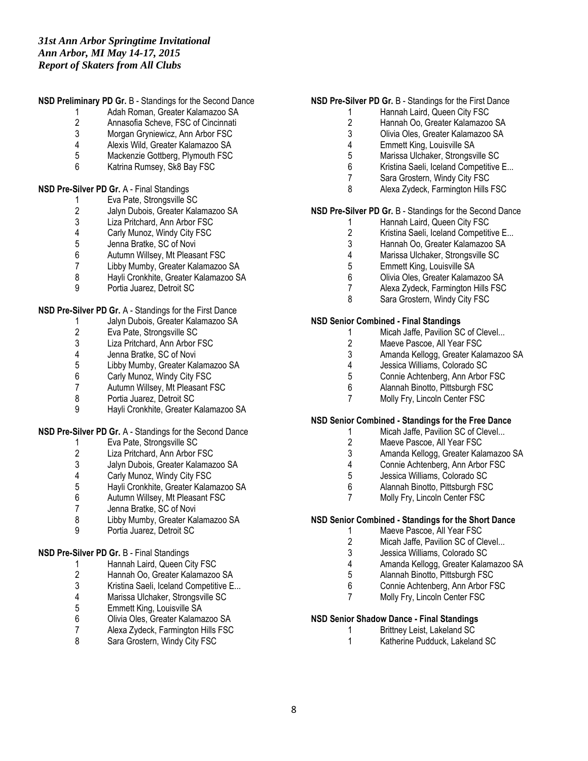# **NSD Preliminary PD Gr.** B - Standings for the Second Dance

- 1 Adah Roman, Greater Kalamazoo SA<br>2 Annasofia Scheve. FSC of Cincinnati
- 2 Annasofia Scheve, FSC of Cincinnati<br>3 Morgan Gryniewicz, Ann Arbor FSC
- Morgan Gryniewicz, Ann Arbor FSC
- 4 Alexis Wild, Greater Kalamazoo SA<br>5 Mackenzie Gottberg, Plymouth FSC
- 5 Mackenzie Gottberg, Plymouth FSC<br>6 Katrina Rumsey Sk8 Bay FSC
- Katrina Rumsey, Sk8 Bay FSC

#### **NSD Pre-Silver PD Gr.** A - Final Standings

- 1 Eva Pate, Strongsville SC<br>2 Jalyn Dubois, Greater Kala
- 2 Jalyn Dubois, Greater Kalamazoo SA<br>3 Liza Pritchard, Ann Arbor FSC
- 3 Liza Pritchard, Ann Arbor FSC<br>4 Carly Munoz. Windy City FSC
- 4 Carly Munoz, Windy City FSC<br>5 Jenna Bratke. SC of Novi
- Jenna Bratke, SC of Novi
- 
- 6 Autumn Willsey, Mt Pleasant FSC
- 7 Libby Mumby, Greater Kalamazoo SA<br>8 Havli Cronkhite, Greater Kalamazoo SA 8 Hayli Cronkhite, Greater Kalamazoo SA
- 9 Portia Juarez, Detroit SC

# **NSD Pre-Silver PD Gr.** A - Standings for the First Dance

- 1 Jalyn Dubois, Greater Kalamazoo SA
- 2 Eva Pate, Strongsville SC<br>3 Liza Pritchard. Ann Arbor F
- 3 Liza Pritchard, Ann Arbor FSC<br>4 Jenna Bratke. SC of Novi
- 4 Jenna Bratke, SC of Novi<br>5 Libby Mumby, Greater Kal
- 5 Libby Mumby, Greater Kalamazoo SA
- 6 Carly Munoz, Windy City FSC
- Autumn Willsey, Mt Pleasant FSC
- 8 Portia Juarez, Detroit SC
- 9 Hayli Cronkhite, Greater Kalamazoo SA

#### **NSD Pre-Silver PD Gr.** A - Standings for the Second Dance

- 1 Eva Pate, Strongsville SC<br>2 Liza Pritchard, Ann Arbor F
- Liza Pritchard, Ann Arbor FSC
- 3 Jalyn Dubois, Greater Kalamazoo SA
- 4 Carly Munoz, Windy City FSC<br>5 Havli Cronkhite. Greater Kalam
- 5 Hayli Cronkhite, Greater Kalamazoo SA
- Autumn Willsey, Mt Pleasant FSC
- 7 Jenna Bratke, SC of Novi<br>8 Libby Mumby, Greater Kal
- 8 Libby Mumby, Greater Kalamazoo SA
- 9 Portia Juarez, Detroit SC

# **NSD Pre-Silver PD Gr.** B - Final Standings

- 1 Hannah Laird, Queen City FSC<br>2 Hannah Oo, Greater Kalamazoo
- 2 Hannah Oo, Greater Kalamazoo SA
- 3 Kristina Saeli, Iceland Competitive E...<br>4 Marissa Ulchaker. Strongsville SC
- 4 Marissa Ulchaker, Strongsville SC<br>5 Emmett King, Louisville SA
- 5 Emmett King, Louisville SA
- 6 Olivia Oles, Greater Kalamazoo SA<br>7 Alexa Zydeck, Farmington Hills FSC
- 7 Alexa Zydeck, Farmington Hills FSC<br>8 Sara Grostern Windy City FSC
- Sara Grostern, Windy City FSC

#### **NSD Pre-Silver PD Gr.** B - Standings for the First Dance

- 1 Hannah Laird, Queen City FSC<br>2 Hannah Oo, Greater Kalamazoo
- 2 Hannah Oo, Greater Kalamazoo SA<br>3 Olivia Oles, Greater Kalamazoo SA
- 3 Olivia Oles, Greater Kalamazoo SA
- 4 Emmett King, Louisville SA<br>5 Marissa Ulchaker, Strongsv
- Marissa Ulchaker, Strongsville SC
- 6 Kristina Saeli, Iceland Competitive E...
- 7 Sara Grostern, Windy City FSC
- 8 Alexa Zydeck, Farmington Hills FSC

#### **NSD Pre-Silver PD Gr.** B - Standings for the Second Dance

- 1 Hannah Laird, Queen City FSC<br>2 Kristina Saeli. Iceland Competiti
- 2 Kristina Saeli, Iceland Competitive E...<br>3 Hannah Oo. Greater Kalamazoo SA
- 3 Hannah Oo, Greater Kalamazoo SA
- 4 Marissa Ulchaker, Strongsville SC<br>5 Emmett King, Louisville SA
- 5 Emmett King, Louisville SA
- 6 Olivia Oles, Greater Kalamazoo SA
- 7 Alexa Zydeck, Farmington Hills FSC
- 8 Sara Grostern, Windy City FSC

# **NSD Senior Combined - Final Standings**

- 1 Micah Jaffe, Pavilion SC of Clevel...<br>2 Maeve Pascoe. All Year FSC
- 2 Maeve Pascoe, All Year FSC<br>3 Amanda Kellogg, Greater Kala
- 3 Amanda Kellogg, Greater Kalamazoo SA
- 4 Jessica Williams, Colorado SC<br>5 Connie Achtenberg, Ann Arbor
- 5 Connie Achtenberg, Ann Arbor FSC<br>6 Alannah Binotto. Pittsburgh FSC
- 6 Alannah Binotto, Pittsburgh FSC
- 7 Molly Fry, Lincoln Center FSC

# **NSD Senior Combined - Standings for the Free Dance**

- 1 Micah Jaffe, Pavilion SC of Clevel...
- 2 Maeve Pascoe, All Year FSC
- 3 Amanda Kellogg, Greater Kalamazoo SA
- 4 Connie Achtenberg, Ann Arbor FSC
- 5 Jessica Williams, Colorado SC<br>6 Alannah Binotto, Pittsburgh FS
- 6 Alannah Binotto, Pittsburgh FSC
- 7 Molly Fry, Lincoln Center FSC

#### **NSD Senior Combined - Standings for the Short Dance**

- 1 Maeve Pascoe, All Year FSC
- 2 Micah Jaffe, Pavilion SC of Clevel...<br>3 Jessica Williams. Colorado SC
- 3 Jessica Williams, Colorado SC
- 4 Amanda Kellogg, Greater Kalamazoo SA
- 5 Alannah Binotto, Pittsburgh FSC
- 6 Connie Achtenberg, Ann Arbor FSC
- 7 Molly Fry, Lincoln Center FSC

# **NSD Senior Shadow Dance - Final Standings**

- 1 Brittney Leist, Lakeland SC<br>1 Katherine Pudduck Lakelan
- Katherine Pudduck, Lakeland SC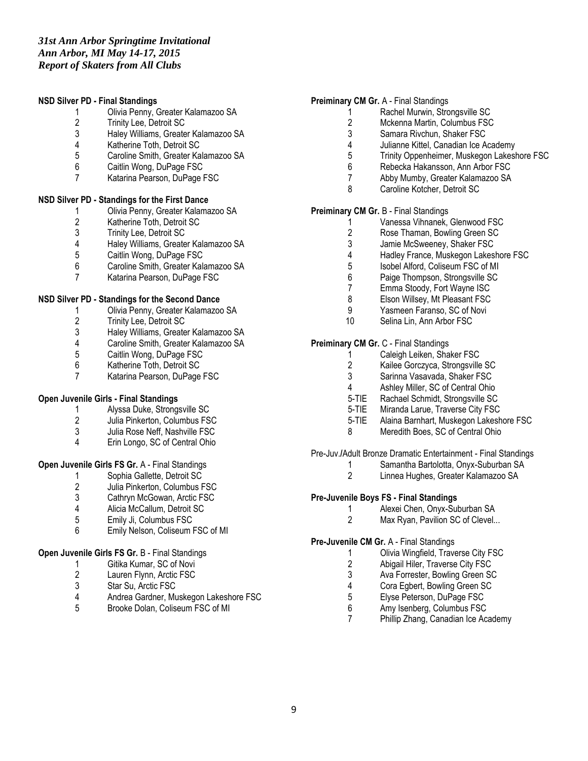#### **NSD Silver PD - Final Standings**

- 1 Olivia Penny, Greater Kalamazoo SA<br>2 Trinity Lee, Detroit SC
- 2 Trinity Lee, Detroit SC<br>3 Halev Williams. Greate
- 3 Haley Williams, Greater Kalamazoo SA
- 4 Katherine Toth, Detroit SC<br>5 Caroline Smith, Greater Kal
- 5 Caroline Smith, Greater Kalamazoo SA<br>6 Caitlin Wong, DuPage FSC
- Caitlin Wong, DuPage FSC
- 7 Katarina Pearson, DuPage FSC

#### **NSD Silver PD - Standings for the First Dance**

- 1 Olivia Penny, Greater Kalamazoo SA
- 2 Katherine Toth, Detroit SC<br>3 Trinity Lee, Detroit SC
- 3 Trinity Lee, Detroit SC<br>4 Halev Williams. Greate
- 4 Haley Williams, Greater Kalamazoo SA
- 5 Caitlin Wong, DuPage FSC<br>6 Caroline Smith. Greater Kala
- 6 Caroline Smith, Greater Kalamazoo SA
- 7 Katarina Pearson, DuPage FSC

#### **NSD Silver PD - Standings for the Second Dance**

- 1 Olivia Penny, Greater Kalamazoo SA
- 2 Trinity Lee, Detroit SC<br>3 Halev Williams. Greate
- 3 Haley Williams, Greater Kalamazoo SA
- 4 Caroline Smith, Greater Kalamazoo SA<br>5 Caitlin Wong, DuPage FSC
- Caitlin Wong, DuPage FSC
- 6 Katherine Toth, Detroit SC
- 7 Katarina Pearson, DuPage FSC

# **Open Juvenile Girls - Final Standings**

- 1 Alyssa Duke, Strongsville SC<br>2 Julia Pinkerton. Columbus FS
- 2 Julia Pinkerton, Columbus FSC
- 3 Julia Rose Neff, Nashville FSC
- 4 Erin Longo, SC of Central Ohio

# **Open Juvenile Girls FS Gr.** A - Final Standings

- 1 Sophia Gallette, Detroit SC<br>2 Julia Pinkerton, Columbus F
- 2 Julia Pinkerton, Columbus FSC<br>3 Cathrvn McGowan, Arctic FSC
- 3 Cathryn McGowan, Arctic FSC<br>4 Alicia McCallum. Detroit SC
- 4 Alicia McCallum, Detroit SC<br>5 Emily Ji. Columbus FSC
- 5 Emily Ji, Columbus FSC
- 6 Emily Nelson, Coliseum FSC of MI

# **Open Juvenile Girls FS Gr.** B - Final Standings

- 1 Gitika Kumar, SC of Novi<br>2 Lauren Flynn, Arctic FSC
- Lauren Flynn, Arctic FSC
- 3 Star Su, Arctic FSC<br>4 Andrea Gardner. Mu
- 4 Andrea Gardner, Muskegon Lakeshore FSC<br>5 Brooke Dolan Coliseum FSC of MI
- 5 Brooke Dolan, Coliseum FSC of MI

#### **Preiminary CM Gr.** A - Final Standings

- 1 Rachel Murwin, Strongsville SC<br>2 Mckenna Martin, Columbus FSC
	- 2 Mckenna Martin, Columbus FSC<br>3 Samara Rivchun, Shaker FSC
	- 3 Samara Rivchun, Shaker FSC
	- 4 Julianne Kittel, Canadian Ice Academy<br>5 Trinity Oppenheimer. Muskegon Lakesh
	- 5 Trinity Oppenheimer, Muskegon Lakeshore FSC<br>6 Rebecka Hakansson Ann Arbor FSC
	- Rebecka Hakansson, Ann Arbor FSC
	- 7 Abby Mumby, Greater Kalamazoo SA
	- 8 Caroline Kotcher, Detroit SC

# **Preiminary CM Gr.** B - Final Standings

- 1 Vanessa Vihnanek, Glenwood FSC<br>2 Rose Thaman, Bowling Green SC
- 2 Rose Thaman, Bowling Green SC<br>3 Jamie McSweenev, Shaker FSC
- 3 Jamie McSweeney, Shaker FSC<br>4 Hadley France, Muskegon Lakes
- 4 Hadley France, Muskegon Lakeshore FSC<br>5 Isobel Alford. Coliseum FSC of MI
- 5 Isobel Alford, Coliseum FSC of MI
- 6 Paige Thompson, Strongsville SC
- 7 Emma Stoody, Fort Wayne ISC
- 8 Elson Willsey, Mt Pleasant FSC
- 9 Yasmeen Faranso, SC of Novi
- 10 Selina Lin, Ann Arbor FSC

# **Preiminary CM Gr.** C - Final Standings

- 1 Caleigh Leiken, Shaker FSC<br>2 Kailee Gorczyca, Strongsville
- 2 Kailee Gorczyca, Strongsville SC<br>3 Sarinna Vasavada, Shaker FSC
- 3 Sarinna Vasavada, Shaker FSC<br>4 Ashley Miller, SC of Central Ohio
- Ashley Miller, SC of Central Ohio
- 5-TIE Rachael Schmidt, Strongsville SC
- 5-TIE Miranda Larue, Traverse City FSC
- 5-TIE Alaina Barnhart, Muskegon Lakeshore FSC
- 8 Meredith Boes, SC of Central Ohio

# Pre-Juv.**/**Adult Bronze Dramatic Entertainment - Final Standings

- 1 Samantha Bartolotta, Onyx-Suburban SA
- 2 Linnea Hughes, Greater Kalamazoo SA

#### **Pre-Juvenile Boys FS - Final Standings**

- 1 Alexei Chen, Onyx-Suburban SA<br>2 Max Rvan. Pavilion SC of Clevel..
- Max Ryan, Pavilion SC of Clevel...

#### **Pre-Juvenile CM Gr.** A - Final Standings

- 1 Olivia Wingfield, Traverse City FSC
- 2 Abigail Hiler, Traverse City FSC<br>3 Ava Forrester. Bowling Green SC
	- Ava Forrester, Bowling Green SC
- 4 Cora Egbert, Bowling Green SC<br>5 Elyse Peterson, DuPage FSC
- 5 Elyse Peterson, DuPage FSC<br>6 Amy Isenberg. Columbus FSC
- Amy Isenberg, Columbus FSC
- 7 Phillip Zhang, Canadian Ice Academy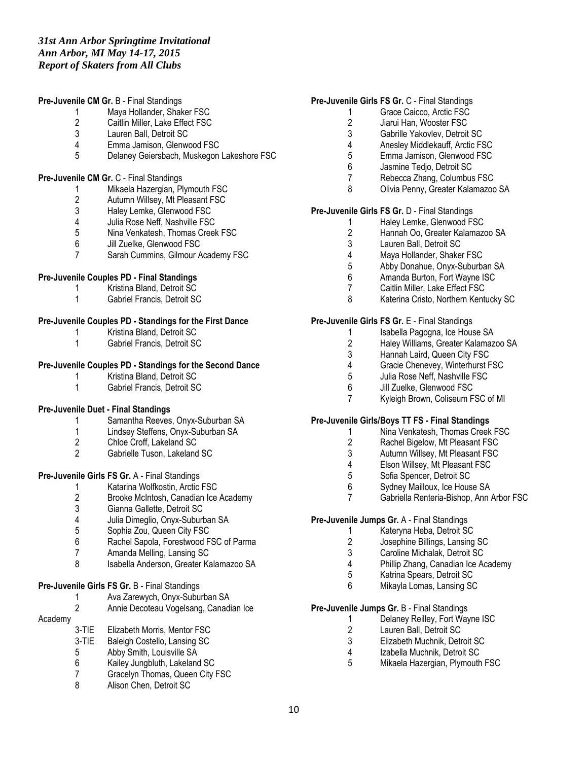#### **Pre-Juvenile CM Gr.** B - Final Standings

- 1 Maya Hollander, Shaker FSC<br>2 Caitlin Miller, Lake Effect FSC
- 2 Caitlin Miller, Lake Effect FSC<br>3 Lauren Ball. Detroit SC
- Lauren Ball, Detroit SC
- 4 Emma Jamison, Glenwood FSC
- 5 Delaney Geiersbach, Muskegon Lakeshore FSC

#### **Pre-Juvenile CM Gr.** C - Final Standings

- 1 Mikaela Hazergian, Plymouth FSC<br>2 Autumn Willsey, Mt Pleasant FSC
- 2 Autumn Willsey, Mt Pleasant FSC<br>3 Halev Lemke. Glenwood FSC
- 3 Haley Lemke, Glenwood FSC<br>4 Julia Rose Neff. Nashville FSC
- 4 Julia Rose Neff, Nashville FSC<br>5 Nina Venkatesh. Thomas Creek
- 5 Nina Venkatesh, Thomas Creek FSC<br>6 Jill Zuelke, Glenwood FSC
- Jill Zuelke, Glenwood FSC
- 7 Sarah Cummins, Gilmour Academy FSC

# **Pre-Juvenile Couples PD - Final Standings**

- 1 Kristina Bland, Detroit SC
- 1 Gabriel Francis, Detroit SC

#### **Pre-Juvenile Couples PD - Standings for the First Dance**

- 1 Kristina Bland, Detroit SC<br>1 Gabriel Francis, Detroit SC
- 1 Gabriel Francis, Detroit SC

#### **Pre-Juvenile Couples PD - Standings for the Second Dance**

- 1 Kristina Bland, Detroit SC<br>1 Gabriel Francis Detroit SC
- 1 Gabriel Francis, Detroit SC

# **Pre-Juvenile Duet - Final Standings**

- 1 Samantha Reeves, Onyx-Suburban SA
- 1 Lindsey Steffens, Onyx-Suburban SA<br>2 Chloe Croff. Lakeland SC
- 2 Chloe Croff, Lakeland SC<br>2 Gabrielle Tuson, Lakeland
- 2 Gabrielle Tuson, Lakeland SC

# **Pre-Juvenile Girls FS Gr.** A - Final Standings

- 1 Katarina Wolfkostin, Arctic FSC<br>2 Brooke McIntosh, Canadian Ice
- 2 Brooke McIntosh, Canadian Ice Academy
- 3 Gianna Gallette, Detroit SC<br>4 Julia Dimeglio. Onvx-Suburk
- 4 Julia Dimeglio, Onyx-Suburban SA<br>5 Sophia Zou. Queen City FSC
- 5 Sophia Zou, Queen City FSC
- 6 Rachel Sapola, Forestwood FSC of Parma
- Amanda Melling, Lansing SC
- 8 Isabella Anderson, Greater Kalamazoo SA

# **Pre-Juvenile Girls FS Gr.** B - Final Standings

- 1 Ava Zarewych, Onyx-Suburban SA<br>2 Annie Decoteau Vogelsang, Canadi
- 2 Annie Decoteau Vogelsang, Canadian Ice
- Academy
	- 3-TIE Elizabeth Morris, Mentor FSC<br>3-TIE Baleigh Costello, Lansing SC
		- Baleigh Costello, Lansing SC
		- 5 Abby Smith, Louisville SA
		- 6 Kailey Jungbluth, Lakeland SC<br>7 Gracelyn Thomas, Queen City
		- 7 Gracelyn Thomas, Queen City FSC<br>8 Alison Chen Detroit SC
		- Alison Chen, Detroit SC

# **Pre-Juvenile Girls FS Gr.** C - Final Standings

- 1 Grace Caicco, Arctic FSC<br>2 Jiarui Han. Wooster FSC
- 2 Jiarui Han, Wooster FSC<br>3 Gabrille Yakovlev. Detroit
- Gabrille Yakovlev, Detroit SC
- 4 Anesley Middlekauff, Arctic FSC<br>5 Emma Jamison. Glenwood FSC
- 5 Emma Jamison, Glenwood FSC<br>6 Jasmine Tedio Detroit SC
	- Jasmine Tedjo, Detroit SC
- 7 Rebecca Zhang, Columbus FSC
- 8 Olivia Penny, Greater Kalamazoo SA

#### **Pre-Juvenile Girls FS Gr.** D - Final Standings

- 1 Haley Lemke, Glenwood FSC<br>2 Hannah Oo. Greater Kalamazo
- 2 Hannah Oo, Greater Kalamazoo SA<br>3 Lauren Ball. Detroit SC
- Lauren Ball, Detroit SC
- 
- 4 Maya Hollander, Shaker FSC<br>5 Abby Donahue. Onvx-Suburba Abby Donahue, Onyx-Suburban SA
- 6 Amanda Burton, Fort Wayne ISC
- 7 Caitlin Miller, Lake Effect FSC
- 8 Katerina Cristo, Northern Kentucky SC

#### **Pre-Juvenile Girls FS Gr.** E - Final Standings

- - 1 Isabella Pagogna, Ice House SA<br>2 Halev Williams. Greater Kalamazo
	- 2 Haley Williams, Greater Kalamazoo SA<br>3 Hannah Laird. Queen City FSC Hannah Laird, Queen City FSC
	-
	- 4 Gracie Chenevey, Winterhurst FSC<br>5 Julia Rose Neff. Nashville FSC 5 Julia Rose Neff, Nashville FSC<br>6 Jill Zuelke, Glenwood FSC
	- Jill Zuelke, Glenwood FSC
	- 7 Kyleigh Brown, Coliseum FSC of MI

# **Pre-Juvenile Girls/Boys TT FS - Final Standings**

- 1 Nina Venkatesh, Thomas Creek FSC
- 2 Rachel Bigelow, Mt Pleasant FSC<br>3 Autumn Willsev. Mt Pleasant FSC
- Autumn Willsey, Mt Pleasant FSC
- 4 Elson Willsey, Mt Pleasant FSC
- 5 Sofia Spencer, Detroit SC<br>6 Sydney Mailloux, Ice Hous
- 6 Sydney Mailloux, Ice House SA<br>7 Gabriella Renteria-Bishop, Ann
- Gabriella Renteria-Bishop, Ann Arbor FSC

# **Pre-Juvenile Jumps Gr.** A - Final Standings

- 1 Kateryna Heba, Detroit SC
- 2 Josephine Billings, Lansing SC<br>3 Caroline Michalak. Detroit SC
- Caroline Michalak, Detroit SC
- 4 Phillip Zhang, Canadian Ice Academy
- 5 Katrina Spears, Detroit SC
- 6 Mikayla Lomas, Lansing SC

# **Pre-Juvenile Jumps Gr.** B - Final Standings

- 1 Delaney Reilley, Fort Wayne ISC<br>2 Lauren Ball. Detroit SC
- 2 Lauren Ball, Detroit SC<br>3 Elizabeth Muchnik, Detr
- Elizabeth Muchnik, Detroit SC
- 4 Izabella Muchnik, Detroit SC<br>5 Mikaela Hazergian, Plymouth
- 5 Mikaela Hazergian, Plymouth FSC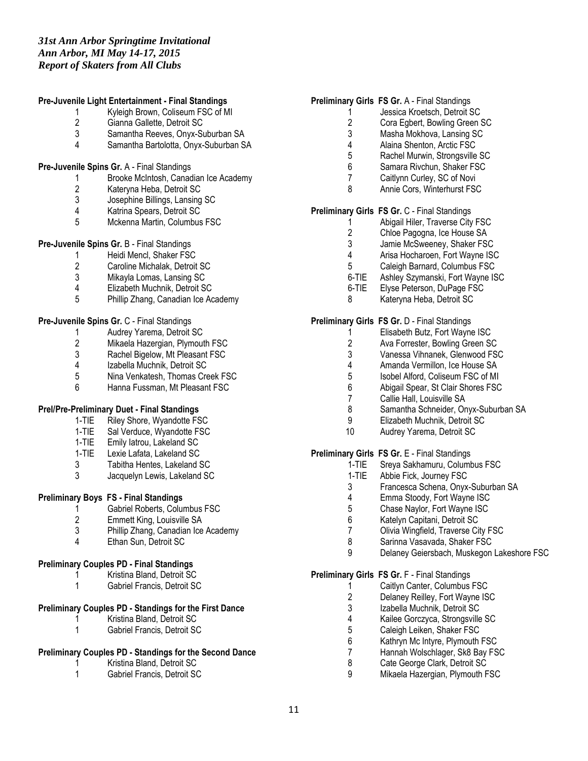#### **Pre-Juvenile Light Entertainment - Final Standings**

- 1 Kyleigh Brown, Coliseum FSC of MI<br>2 Gianna Gallette, Detroit SC
- 2 Gianna Gallette, Detroit SC<br>3 Samantha Reeves. Onvx-Su
- 3 Samantha Reeves, Onyx-Suburban SA
- 4 Samantha Bartolotta, Onyx-Suburban SA

#### **Pre-Juvenile Spins Gr.** A - Final Standings

- 1 Brooke McIntosh, Canadian Ice Academy
- 2 Kateryna Heba, Detroit SC<br>3 Josephine Billings, Lansing
- 3 Josephine Billings, Lansing SC<br>4 Katrina Spears, Detroit SC
- Katrina Spears, Detroit SC
- 5 Mckenna Martin, Columbus FSC

# **Pre-Juvenile Spins Gr.** B - Final Standings

- 1 Heidi Mencl, Shaker FSC<br>2 Caroline Michalak. Detroit
- 2 Caroline Michalak, Detroit SC<br>3 Mikayla Lomas Lansing SC
- 3 Mikayla Lomas, Lansing SC
- 4 Elizabeth Muchnik, Detroit SC<br>5 Phillin Zhang, Canadian Ice Ad
- 5 Phillip Zhang, Canadian Ice Academy

#### **Pre-Juvenile Spins Gr.** C - Final Standings

- 1 Audrey Yarema, Detroit SC<br>2 Mikaela Hazergian, Plymout
- 2 Mikaela Hazergian, Plymouth FSC<br>3 Rachel Bigelow, Mt Pleasant FSC
- 3 Rachel Bigelow, Mt Pleasant FSC<br>4 Izabella Muchnik, Detroit SC
- 4 Izabella Muchnik, Detroit SC<br>5 Nina Venkatesh. Thomas Cre
- 5 Nina Venkatesh, Thomas Creek FSC<br>6 Hanna Fussman Mt Pleasant FSC
- Hanna Fussman, Mt Pleasant FSC

# **Prel/Pre-Preliminary Duet - Final Standings**

- 1-TIE Riley Shore, Wyandotte FSC
- 1-TIE Sal Verduce, Wyandotte FSC
- 1-TIE Emily Iatrou, Lakeland SC
- 1-TIE Lexie Lafata, Lakeland SC
- 3 Tabitha Hentes, Lakeland SC
- 3 Jacquelyn Lewis, Lakeland SC

# **Preliminary Boys FS - Final Standings**

- 1 Gabriel Roberts, Columbus FSC<br>2 Emmett King. Louisville SA
- 2 Emmett King, Louisville SA
- 3 Phillip Zhang, Canadian Ice Academy
- 4 Ethan Sun, Detroit SC

# **Preliminary Couples PD - Final Standings**

- 1 Kristina Bland, Detroit SC
- 1 Gabriel Francis, Detroit SC

# **Preliminary Couples PD - Standings for the First Dance**

- 1 Kristina Bland, Detroit SC<br>1 Gabriel Francis, Detroit SC
- 1 Gabriel Francis, Detroit SC

# **Preliminary Couples PD - Standings for the Second Dance**

- 1 Kristina Bland, Detroit SC<br>1 Gabriel Francis, Detroit SC
- 1 Gabriel Francis, Detroit SC

#### **Preliminary Girls FS Gr.** A - Final Standings

- 1 Jessica Kroetsch, Detroit SC<br>2 Cora Egbert, Bowling Green
- 2 Cora Egbert, Bowling Green SC<br>3 Masha Mokhova, Lansing SC
- Masha Mokhova, Lansing SC
- 4 Alaina Shenton, Arctic FSC<br>5 Rachel Murwin, Strongsville
- 5 Rachel Murwin, Strongsville SC
- 6 Samara Rivchun, Shaker FSC
- 7 Caitlynn Curley, SC of Novi
- 8 Annie Cors, Winterhurst FSC

#### **Preliminary Girls FS Gr.** C - Final Standings

- 1 Abigail Hiler, Traverse City FSC<br>2 Chloe Pagogna, Ice House SA
- 2 Chloe Pagogna, Ice House SA<br>3 Jamie McSweenev. Shaker FS
- Jamie McSweeney, Shaker FSC
- 4 Arisa Hocharoen, Fort Wayne ISC<br>5 Caleigh Barnard, Columbus FSC
- 5 Caleigh Barnard, Columbus FSC
- 6-TIE Ashley Szymanski, Fort Wayne ISC
- 6-TIE Elyse Peterson, DuPage FSC
- 8 Kateryna Heba, Detroit SC

# **Preliminary Girls FS Gr.** D - Final Standings

- 1 Elisabeth Butz, Fort Wayne ISC<br>2 Ava Forrester. Bowling Green SO
- 2 Ava Forrester, Bowling Green SC<br>3 Vanessa Vihnanek, Glenwood FS
- Vanessa Vihnanek, Glenwood FSC
- 4 Amanda Vermillon, Ice House SA<br>5 Isobel Alford. Coliseum FSC of MI
- 5 Isobel Alford, Coliseum FSC of MI<br>6 Abigail Spear, St Clair Shores FSC
- Abigail Spear, St Clair Shores FSC
- 7 Callie Hall, Louisville SA
- 8 Samantha Schneider, Onyx-Suburban SA<br>9 Flizabeth Muchnik Detroit SC
- 9 Elizabeth Muchnik, Detroit SC
- 10 Audrey Yarema, Detroit SC

# **Preliminary Girls FS Gr.** E - Final Standings

- 1-TIE Sreya Sakhamuru, Columbus FSC
- 1-TIE Abbie Fick, Journey FSC
- 3 Francesca Schena, Onyx-Suburban SA
- 4 Emma Stoody, Fort Wayne ISC
- 5 Chase Naylor, Fort Wayne ISC
- 6 Katelyn Capitani, Detroit SC
- 7 Olivia Wingfield, Traverse City FSC
- 8 Sarinna Vasavada, Shaker FSC
- 9 Delaney Geiersbach, Muskegon Lakeshore FSC

#### **Preliminary Girls FS Gr.** F - Final Standings

- - 1 Caitlyn Canter, Columbus FSC<br>2 Delanev Reillev. Fort Wavne IS
	- 2 Delaney Reilley, Fort Wayne ISC<br>3 Izabella Muchnik. Detroit SC Izabella Muchnik, Detroit SC
	-
	- 4 Kailee Gorczyca, Strongsville SC<br>5 Caleigh Leiken, Shaker FSC
	- 5 Caleigh Leiken, Shaker FSC<br>6 Kathrvn Mc Intvre. Plymouth Kathryn Mc Intyre, Plymouth FSC
	- 7 Hannah Wolschlager, Sk8 Bay FSC
	- 8 Cate George Clark, Detroit SC<br>9 Mikaela Hazergian, Plymouth F
	- Mikaela Hazergian, Plymouth FSC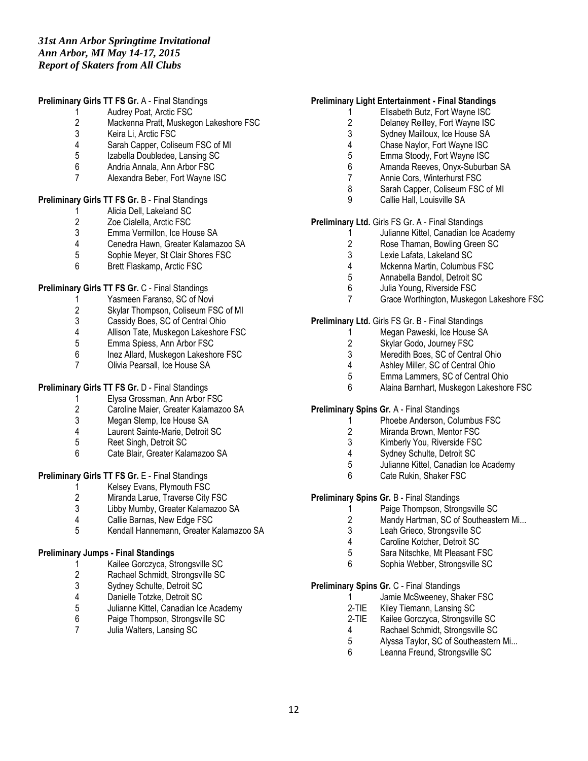#### **Preliminary Girls TT FS Gr.** A - Final Standings

1 Audrey Poat, Arctic FSC<br>2 Mackenna Pratt. Muskeq

- 2 Mackenna Pratt, Muskegon Lakeshore FSC
- 3 Keira Li, Arctic FSC
- 4 Sarah Capper, Coliseum FSC of MI<br>5 Izabella Doubledee. Lansing SC
- 5 Izabella Doubledee, Lansing SC<br>6 Andria Annala, Ann Arbor FSC
- 6 Andria Annala, Ann Arbor FSC
- 7 Alexandra Beber, Fort Wayne ISC

# **Preliminary Girls TT FS Gr.** B - Final Standings

- 1 Alicia Dell, Lakeland SC
- 2 Zoe Cialella, Arctic FSC<br>3 Emma Vermillon, Ice Ho
- 3 Emma Vermillon, Ice House SA<br>4 Cenedra Hawn, Greater Kalama:
- 4 Cenedra Hawn, Greater Kalamazoo SA<br>5 Sophie Mever. St Clair Shores FSC
- 5 Sophie Meyer, St Clair Shores FSC
- 6 Brett Flaskamp, Arctic FSC

# **Preliminary Girls TT FS Gr.** C - Final Standings

- 1 Yasmeen Faranso, SC of Novi<br>2 Skylar Thompson. Coliseum FS
- 2 Skylar Thompson, Coliseum FSC of MI<br>3 Cassidy Boes. SC of Central Ohio
- 3 Cassidy Boes, SC of Central Ohio<br>4 Allison Tate. Muskegon Lakeshore
- 4 Allison Tate, Muskegon Lakeshore FSC<br>5 Emma Spiess. Ann Arbor FSC
- 5 Emma Spiess, Ann Arbor FSC
- Inez Allard, Muskegon Lakeshore FSC
- 7 Olivia Pearsall, Ice House SA

# **Preliminary Girls TT FS Gr.** D - Final Standings

- 1 Elysa Grossman, Ann Arbor FSC<br>2 Caroline Maier. Greater Kalamazo
- 2 Caroline Maier, Greater Kalamazoo SA<br>3 Megan Slemp, Ice House SA
- Megan Slemp, Ice House SA
- 4 Laurent Sainte-Marie, Detroit SC<br>5 Reet Singh. Detroit SC
- Reet Singh, Detroit SC
- 6 Cate Blair, Greater Kalamazoo SA

# **Preliminary Girls TT FS Gr.** E - Final Standings

- 1 Kelsey Evans, Plymouth FSC<br>2 Miranda Larue. Traverse City
- Miranda Larue, Traverse City FSC
- 3 Libby Mumby, Greater Kalamazoo SA
- 4 Callie Barnas, New Edge FSC
- 5 Kendall Hannemann, Greater Kalamazoo SA

# **Preliminary Jumps - Final Standings**

- 1 Kailee Gorczyca, Strongsville SC<br>2 Rachael Schmidt, Strongsville SC
- 2 Rachael Schmidt, Strongsville SC
- 3 Sydney Schulte, Detroit SC<br>4 Danielle Totzke. Detroit SC
- 4 Danielle Totzke, Detroit SC<br>5 Julianne Kittel, Canadian Icc
- 5 Julianne Kittel, Canadian Ice Academy
- 6 Paige Thompson, Strongsville SC
- 7 Julia Walters, Lansing SC

#### **Preliminary Light Entertainment - Final Standings**

- 1 Elisabeth Butz, Fort Wayne ISC<br>2 Delanev Reillev. Fort Wayne ISC
- 2 Delaney Reilley, Fort Wayne ISC<br>3 Sydney Mailloux, Ice House SA
- Sydney Mailloux, Ice House SA
- 4 Chase Naylor, Fort Wayne ISC<br>5 Emma Stoody. Fort Wayne ISC
- 5 Emma Stoody, Fort Wayne ISC<br>6 Amanda Reeves Onvx-Suburba
- 6 Amanda Reeves, Onyx-Suburban SA
- 7 Annie Cors, Winterhurst FSC
- 8 Sarah Capper, Coliseum FSC of MI
- 9 Callie Hall, Louisville SA

# **Preliminary Ltd.** Girls FS Gr. A - Final Standings

- 1 Julianne Kittel, Canadian Ice Academy<br>2 Rose Thaman. Bowling Green SC
- Rose Thaman, Bowling Green SC
- 3 Lexie Lafata, Lakeland SC
- 4 Mckenna Martin, Columbus FSC<br>5 Annabella Bandol Detroit SC
- 5 Annabella Bandol, Detroit SC
- 6 Julia Young, Riverside FSC
- 7 Grace Worthington, Muskegon Lakeshore FSC

#### **Preliminary Ltd.** Girls FS Gr. B - Final Standings

- 1 Megan Paweski, Ice House SA<br>2 Skylar Godo. Journey FSC
- 2 Skylar Godo, Journey FSC<br>3 Meredith Boes. SC of Centr
- Meredith Boes, SC of Central Ohio
- 4 Ashley Miller, SC of Central Ohio<br>5 Emma Lammers. SC of Central O
- 5 Emma Lammers, SC of Central Ohio<br>6 Alaina Barnhart Muskegon Lakeshore
- 6 Alaina Barnhart, Muskegon Lakeshore FSC

# **Preliminary Spins Gr.** A - Final Standings

- 1 Phoebe Anderson, Columbus FSC
- 2 Miranda Brown, Mentor FSC
- 3 Kimberly You, Riverside FSC<br>4 Sydnev Schulte, Detroit SC
- Sydney Schulte, Detroit SC
- 5 Julianne Kittel, Canadian Ice Academy
- 6 Cate Rukin, Shaker FSC

# **Preliminary Spins Gr.** B - Final Standings

- 1 Paige Thompson, Strongsville SC<br>2 Mandy Hartman, SC of Southeaste
	- Mandy Hartman, SC of Southeastern Mi...
	- 3 Leah Grieco, Strongsville SC
	- 4 Caroline Kotcher, Detroit SC<br>5 Sara Nitschke. Mt Pleasant F
	- 5 Sara Nitschke, Mt Pleasant FSC
	- 6 Sophia Webber, Strongsville SC

#### **Preliminary Spins Gr.** C - Final Standings

- 1 Jamie McSweeney, Shaker FSC<br>2-TIE Kilev Tiemann, Lansing SC
- Kiley Tiemann, Lansing SC
- 2-TIE Kailee Gorczyca, Strongsville SC
- 4 Rachael Schmidt, Strongsville SC<br>5 Alvssa Tavlor. SC of Southeastern
- Alyssa Taylor, SC of Southeastern Mi...
- 6 Leanna Freund, Strongsville SC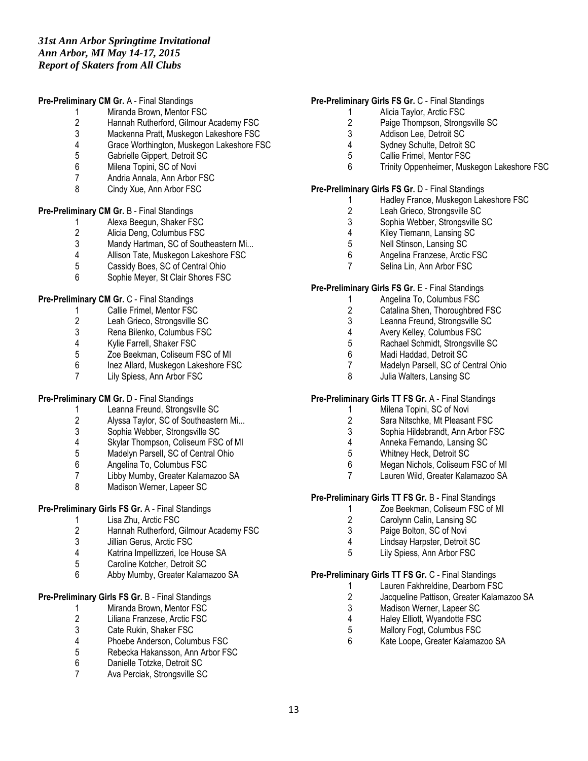#### **Pre-Preliminary CM Gr.** A - Final Standings

- 1 Miranda Brown, Mentor FSC<br>2 Hannah Rutherford. Gilmour
- 2 Hannah Rutherford, Gilmour Academy FSC
- Mackenna Pratt, Muskegon Lakeshore FSC
- 4 Grace Worthington, Muskegon Lakeshore FSC
- 5 Gabrielle Gippert, Detroit SC<br>6 Milena Topini, SC of Novi
- Milena Topini, SC of Novi
- 7 Andria Annala, Ann Arbor FSC
- 8 Cindy Xue, Ann Arbor FSC

#### **Pre-Preliminary CM Gr.** B - Final Standings

- 1 Alexa Beegun, Shaker FSC<br>2 Alicia Deng. Columbus FSC
- 2 Alicia Deng, Columbus FSC<br>3 Mandy Hartman, SC of Sout
- 3 Mandy Hartman, SC of Southeastern Mi...<br>4 Allison Tate, Muskegon Lakeshore FSC
- 4 Allison Tate, Muskegon Lakeshore FSC<br>5 Cassidy Boes. SC of Central Ohio
- Cassidy Boes, SC of Central Ohio
- 6 Sophie Meyer, St Clair Shores FSC

# **Pre-Preliminary CM Gr.** C - Final Standings

- 1 Callie Frimel, Mentor FSC
- 2 Leah Grieco, Strongsville SC<br>3 Rena Bilenko. Columbus FSC
- 3 Rena Bilenko, Columbus FSC<br>4 Kylie Farrell, Shaker FSC
- 4 Kylie Farrell, Shaker FSC<br>5 Zoe Beekman, Coliseum F
- Zoe Beekman, Coliseum FSC of MI
- 6 Inez Allard, Muskegon Lakeshore FSC
- 7 Lily Spiess, Ann Arbor FSC

# **Pre-Preliminary CM Gr.** D - Final Standings

- 1 Leanna Freund, Strongsville SC<br>2 Alvssa Tavlor. SC of Southeaster
- 2 Alyssa Taylor, SC of Southeastern Mi...<br>3 Sophia Webber, Strongsville SC
- 3 Sophia Webber, Strongsville SC<br>4 Skylar Thompson, Coliseum FSC
- 4 Skylar Thompson, Coliseum FSC of MI<br>5 Madelyn Parsell. SC of Central Ohio
- Madelyn Parsell, SC of Central Ohio
- 6 Angelina To, Columbus FSC
- 7 Libby Mumby, Greater Kalamazoo SA<br>8 Madison Werner, Lapeer SC
- Madison Werner, Lapeer SC

# **Pre-Preliminary Girls FS Gr.** A - Final Standings

- 1 Lisa Zhu, Arctic FSC<br>2 Hannah Rutherford. (
- 2 Hannah Rutherford, Gilmour Academy FSC
- 3 Jillian Gerus, Arctic FSC
- 4 Katrina Impellizzeri, Ice House SA
- 5 Caroline Kotcher, Detroit SC
- 6 Abby Mumby, Greater Kalamazoo SA

# **Pre-Preliminary Girls FS Gr.** B - Final Standings

- 1 Miranda Brown, Mentor FSC<br>2 Liliana Franzese, Arctic FSC
- 2 Liliana Franzese, Arctic FSC<br>3 Cate Rukin, Shaker FSC
- 3 Cate Rukin, Shaker FSC<br>4 Phoebe Anderson Colum
- 4 Phoebe Anderson, Columbus FSC
- 5 Rebecka Hakansson, Ann Arbor FSC
- 6 Danielle Totzke, Detroit SC<br>7 Ava Perciak Strongsville SC
- 7 Ava Perciak, Strongsville SC

#### **Pre-Preliminary Girls FS Gr.** C - Final Standings

- 1 Alicia Taylor, Arctic FSC<br>2 Paige Thompson, Strong
- 2 Paige Thompson, Strongsville SC<br>3 Addison Lee. Detroit SC
- Addison Lee, Detroit SC
- 
- 4 Sydney Schulte, Detroit SC<br>5 Callie Frimel. Mentor FSC 5 Callie Frimel, Mentor FSC
- 6 Trinity Oppenheimer, Muskegon Lakeshore FSC

#### **Pre-Preliminary Girls FS Gr.** D - Final Standings

- 1 Hadley France, Muskegon Lakeshore FSC
- 2 Leah Grieco, Strongsville SC
- 3 Sophia Webber, Strongsville SC<br>4 Kilev Tiemann. Lansing SC
- 4 Kiley Tiemann, Lansing SC<br>5 Nell Stinson. Lansing SC
- Nell Stinson, Lansing SC
- 6 Angelina Franzese, Arctic FSC<br>7 Selina Lin, Ann Arbor FSC
- Selina Lin, Ann Arbor FSC

#### **Pre-Preliminary Girls FS Gr.** E - Final Standings

- 1 Angelina To, Columbus FSC
- 2 Catalina Shen, Thoroughbred FSC<br>3 Leanna Freund. Strongsville SC
- Leanna Freund, Strongsville SC
- 4 Avery Kelley, Columbus FSC<br>5 Rachael Schmidt, Strongsville
- 5 Rachael Schmidt, Strongsville SC<br>6 Madi Haddad. Detroit SC
- Madi Haddad, Detroit SC
- 7 Madelyn Parsell, SC of Central Ohio
- 8 Julia Walters, Lansing SC

# **Pre-Preliminary Girls TT FS Gr.** A - Final Standings

- 1 Milena Topini, SC of Novi<br>2 Sara Nitschke, Mt Pleasar
- Sara Nitschke, Mt Pleasant FSC
- 3 Sophia Hildebrandt, Ann Arbor FSC
- 4 Anneka Fernando, Lansing SC<br>5 Whitnev Heck. Detroit SC
- Whitney Heck, Detroit SC
- 6 Megan Nichols, Coliseum FSC of MI
- 7 Lauren Wild, Greater Kalamazoo SA

# **Pre-Preliminary Girls TT FS Gr.** B - Final Standings

- 1 Zoe Beekman, Coliseum FSC of MI<br>2 Carolynn Calin, Lansing SC
- 2 Carolynn Calin, Lansing SC
- 3 Paige Bolton, SC of Novi
- 4 Lindsay Harpster, Detroit SC
- 5 Lily Spiess, Ann Arbor FSC

#### **Pre-Preliminary Girls TT FS Gr.** C - Final Standings

- 1 Lauren Fakhreldine, Dearborn FSC<br>2 Jacqueline Pattison. Greater Kalama
	- 2 Jacqueline Pattison, Greater Kalamazoo SA
	- 3 Madison Werner, Lapeer SC<br>4 Haley Elliott, Wyandotte FSC
	- 4 Haley Elliott, Wyandotte FSC<br>5 Mallory Foat, Columbus FSC
	- 5 Mallory Fogt, Columbus FSC<br>6 Kate Loope Greater Kalamaz
	- 6 Kate Loope, Greater Kalamazoo SA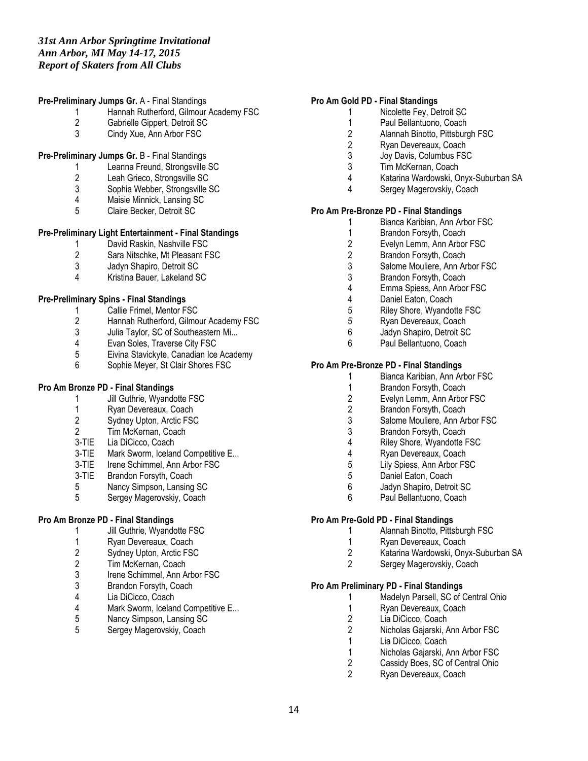#### **Pre-Preliminary Jumps Gr.** A - Final Standings

- 1 Hannah Rutherford, Gilmour Academy FSC<br>2 Gabrielle Gippert. Detroit SC
- 2 Gabrielle Gippert, Detroit SC<br>3 Cindy Xue. Ann Arbor FSC
- Cindy Xue, Ann Arbor FSC

# **Pre-Preliminary Jumps Gr.** B - Final Standings

- 1 Leanna Freund, Strongsville SC
- 2 Leah Grieco, Strongsville SC
- 3 Sophia Webber, Strongsville SC<br>4 Maisie Minnick Lansing SC
- 4 Maisie Minnick, Lansing SC<br>5 Claire Becker. Detroit SC
- 5 Claire Becker, Detroit SC

# **Pre-Preliminary Light Entertainment - Final Standings**

- 1 David Raskin, Nashville FSC<br>2 Sara Nitschke. Mt Pleasant F
- 2 Sara Nitschke, Mt Pleasant FSC<br>3 Jadyn Shapiro. Detroit SC
- 3 Jadyn Shapiro, Detroit SC
- 4 Kristina Bauer, Lakeland SC

# **Pre-Preliminary Spins - Final Standings**

- 1 Callie Frimel, Mentor FSC
- 2 Hannah Rutherford, Gilmour Academy FSC<br>3 Julia Tavlor. SC of Southeastern Mi...
- 3 Julia Taylor, SC of Southeastern Mi...<br>4 Evan Soles. Traverse City FSC
- 4 Evan Soles, Traverse City FSC<br>5 Eivina Stavickyte, Canadian Ice
- Eivina Stavickyte, Canadian Ice Academy
- 6 Sophie Meyer, St Clair Shores FSC

# **Pro Am Bronze PD - Final Standings**

- 1 Jill Guthrie, Wyandotte FSC
- 1 Ryan Devereaux, Coach<br>2 Sydnev Upton, Arctic FSC
- Sydney Upton, Arctic FSC
- 2 Tim McKernan, Coach
- 3-TIE Lia DiCicco, Coach
- 3-TIE Mark Sworm, Iceland Competitive E...
- 3-TIE Irene Schimmel, Ann Arbor FSC
- 3-TIE Brandon Forsyth, Coach
- 5 Nancy Simpson, Lansing SC<br>5 Sergey Magerovskiv, Coach
- 5 Sergey Magerovskiy, Coach

# **Pro Am Bronze PD - Final Standings**

- 1 Jill Guthrie, Wyandotte FSC
- 1 Ryan Devereaux, Coach<br>2 Sydnev Upton. Arctic FSC
- 2 Sydney Upton, Arctic FSC<br>2 Tim McKernan, Coach
- 2 Tim McKernan, Coach<br>3 Irene Schimmel. Ann A
- Irene Schimmel, Ann Arbor FSC
- 3 Brandon Forsyth, Coach<br>4 Lia DiCicco. Coach
- 4 Lia DiCicco, Coach<br>4 Mark Sworm, Icelan
- 4 Mark Sworm, Iceland Competitive E...<br>5 Nancy Simpson, Lansing SC
- 5 Nancy Simpson, Lansing SC<br>5 Sergey Magerovskiv, Coach
- 5 Sergey Magerovskiy, Coach

# **Pro Am Gold PD - Final Standings**

- 1 Nicolette Fey, Detroit SC
	- 1 Paul Bellantuono, Coach<br>2 Alannah Binotto, Pittsburg
	- 2 Alannah Binotto, Pittsburgh FSC
	- 2 Ryan Devereaux, Coach<br>3 Joy Davis, Columbus FS
	- 3 Joy Davis, Columbus FSC<br>3 Tim McKernan Coach
	- Tim McKernan, Coach
	- 4 Katarina Wardowski, Onyx-Suburban SA
	- 4 Sergey Magerovskiy, Coach

# **Pro Am Pre-Bronze PD - Final Standings**

- 1 Bianca Karibian, Ann Arbor FSC<br>1 Brandon Forsyth. Coach
- 1 Brandon Forsyth, Coach<br>2 Evelyn Lemm. Ann Arbor
- Evelyn Lemm, Ann Arbor FSC
- 2 Brandon Forsyth, Coach<br>3 Salome Mouliere. Ann Ar
- Salome Mouliere, Ann Arbor FSC
- 3 Brandon Forsyth, Coach
- 4 Emma Spiess, Ann Arbor FSC
- 4 Daniel Eaton, Coach<br>5 Riley Shore Wyando
- Riley Shore, Wyandotte FSC
- 5 Ryan Devereaux, Coach
- 6 Jadyn Shapiro, Detroit SC<br>6 Paul Bellantuono Coach
- Paul Bellantuono, Coach

# **Pro Am Pre-Bronze PD - Final Standings**

- 1 Bianca Karibian, Ann Arbor FSC<br>1 Brandon Forsyth. Coach
- Brandon Forsyth, Coach
- 2 Evelyn Lemm, Ann Arbor FSC<br>2 Brandon Forsyth, Coach
- 2 Brandon Forsyth, Coach<br>3 Salome Mouliere, Ann Ar
- Salome Mouliere, Ann Arbor FSC
- 3 Brandon Forsyth, Coach
- 4 Riley Shore, Wyandotte FSC<br>4 Ryan Devereaux, Coach
- Ryan Devereaux, Coach
- 5 Lily Spiess, Ann Arbor FSC
- 5 Daniel Eaton, Coach<br>6 Jadyn Shapiro. Detro
- Jadyn Shapiro, Detroit SC
- 6 Paul Bellantuono, Coach

#### **Pro Am Pre-Gold PD - Final Standings**

- 1 Alannah Binotto, Pittsburgh FSC
- 1 Ryan Devereaux, Coach<br>2 Katarina Wardowski. Onv
- 2 Katarina Wardowski, Onyx-Suburban SA
- 2 Sergey Magerovskiy, Coach

# **Pro Am Preliminary PD - Final Standings**

- 1 Madelyn Parsell, SC of Central Ohio<br>1 Ryan Devereaux. Coach
- 1 Ryan Devereaux, Coach<br>2 Lia DiCicco, Coach
- 2 Lia DiCicco, Coach<br>2 Nicholas Gaiarski, A
- 2 Nicholas Gajarski, Ann Arbor FSC<br>1 Ia DiCicco Coach
- Lia DiCicco, Coach
- 1 Nicholas Gajarski, Ann Arbor FSC
- 2 Cassidy Boes, SC of Central Ohio<br>2 Ryan Devereaux, Coach
- Ryan Devereaux, Coach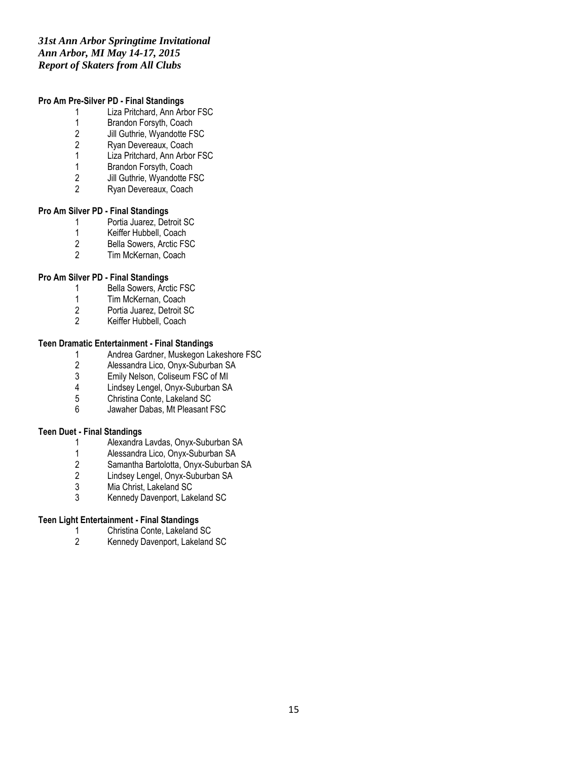# *31st Ann Arbor Springtime Invitational Ann Arbor, MI May 14-17, 2015 Report of Skaters from All Clubs*

# **Pro Am Pre-Silver PD - Final Standings**

- 1 Liza Pritchard, Ann Arbor FSC
- 1 Brandon Forsyth, Coach<br>2 Jill Guthrie, Wyandotte FS
- 2 Jill Guthrie, Wyandotte FSC<br>2 Ryan Devereaux, Coach
- 2 Ryan Devereaux, Coach<br>1 Liza Pritchard, Ann Arbor
- Liza Pritchard, Ann Arbor FSC
- 1 Brandon Forsyth, Coach
- 2 Jill Guthrie, Wyandotte FSC
- 2 Ryan Devereaux, Coach

#### **Pro Am Silver PD - Final Standings**

- 1 Portia Juarez, Detroit SC<br>1 Keiffer Hubbell. Coach
- 1 Keiffer Hubbell, Coach<br>2 Bella Sowers, Arctic FS
- 2 Bella Sowers, Arctic FSC<br>2 Tim McKernan. Coach
- Tim McKernan, Coach

# **Pro Am Silver PD - Final Standings**

- 1 Bella Sowers, Arctic FSC
- 1 Tim McKernan, Coach<br>2 Portia Juarez, Detroit S
- 2 Portia Juarez, Detroit SC<br>2 Keiffer Hubbell Coach
- Keiffer Hubbell, Coach

# **Teen Dramatic Entertainment - Final Standings**

- 1 Andrea Gardner, Muskegon Lakeshore FSC<br>2 Alessandra Lico, Onyx-Suburban SA
- 2 Alessandra Lico, Onyx-Suburban SA<br>3 Emily Nelson, Coliseum FSC of MI
- 3 Emily Nelson, Coliseum FSC of MI<br>4 Lindsev Lengel. Onvx-Suburban SA
- 4 Lindsey Lengel, Onyx-Suburban SA<br>5 Christina Conte, Lakeland SC
- 5 Christina Conte, Lakeland SC<br>6 Jawaher Dabas, Mt Pleasant F
- Jawaher Dabas, Mt Pleasant FSC

#### **Teen Duet - Final Standings**

- 1 Alexandra Lavdas, Onyx-Suburban SA<br>1 Alessandra Lico. Onvx-Suburban SA
- 1 Alessandra Lico, Onyx-Suburban SA
- 2 Samantha Bartolotta, Onyx-Suburban SA
- 2 Lindsey Lengel, Onyx-Suburban SA<br>3 Mia Christ, Lakeland SC
- 3 Mia Christ, Lakeland SC
- 3 Kennedy Davenport, Lakeland SC

# **Teen Light Entertainment - Final Standings**

- 1 Christina Conte, Lakeland SC<br>2 Kennedy Davenport, Lakeland
- 2 Kennedy Davenport, Lakeland SC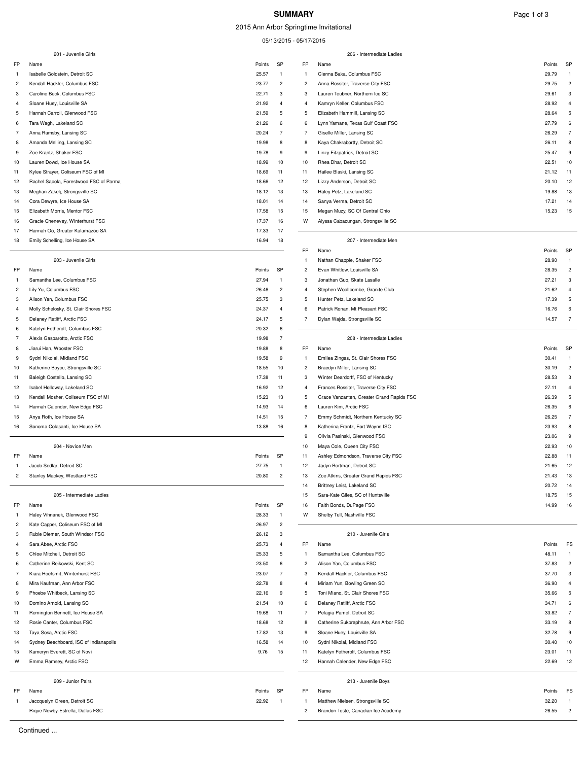# **SUMMARY** Page 1 of 3

2015 Ann Arbor Springtime Invitational

05/13/2015 - 05/17/2015

|                     | 201 - Juvenile Girls                                                |                |                     |                     | 206 - Intermediate Ladies                                           |                                       |
|---------------------|---------------------------------------------------------------------|----------------|---------------------|---------------------|---------------------------------------------------------------------|---------------------------------------|
| FP                  | Name                                                                | Points         | SP                  | <b>FP</b>           | Name                                                                | SP<br>Points                          |
| 1                   | Isabelle Goldstein, Detroit SC                                      | 25.57          | $\mathbf{1}$        | -1                  | Cienna Baka, Columbus FSC                                           | 29.79<br>-1                           |
| 2                   | Kendall Hackler, Columbus FSC                                       | 23.77          | $\overline{2}$      | $\overline{2}$      | Anna Rossiter, Traverse City FSC                                    | $\overline{2}$<br>29.75               |
| 3                   | Caroline Beck, Columbus FSC                                         | 22.71          | 3                   | 3                   | Lauren Teubner, Northern Ice SC                                     | 29.61<br>3                            |
| 4                   | Sloane Huey, Louisville SA                                          | 21.92          | 4                   | $\overline{4}$      | Kamryn Keller, Columbus FSC                                         | 28.92<br>$\overline{4}$               |
| 5                   | Hannah Carroll, Glenwood FSC                                        | 21.59          | 5                   | 5                   | Elizabeth Hammill, Lansing SC                                       | 28.64<br>5                            |
| 6                   | Tara Wagh, Lakeland SC                                              | 21.26          | 6                   | 6                   | Lynn Yamane, Texas Gulf Coast FSC                                   | 27.79<br>6                            |
| 7                   | Anna Ramsby, Lansing SC                                             | 20.24          | $\overline{7}$      | $\overline{7}$      | Giselle Miller, Lansing SC                                          | $\overline{7}$<br>26.29               |
| 8                   | Amanda Melling, Lansing SC                                          | 19.98          | 8                   | 8                   | Kaya Chakrabortty, Detroit SC                                       | 26.11<br>8                            |
| 9                   | Zoe Krantz, Shaker FSC                                              | 19.78          | 9                   | 9                   | Linzy Fitzpatrick, Detroit SC                                       | 25.47<br>9                            |
| 10                  | Lauren Dowd, Ice House SA                                           | 18.99          | 10                  | 10                  | Rhea Dhar, Detroit SC                                               | 10<br>22.51                           |
| 11                  | Kylee Strayer, Coliseum FSC of MI                                   | 18.69          | 11                  | 11                  | Hailee Blaski, Lansing SC                                           | 21.12<br>11                           |
| 12                  | Rachel Sapola, Forestwood FSC of Parma                              | 18.66          | 12<br>13            | 12<br>13            | Lizzy Anderson, Detroit SC<br>Haley Petz, Lakeland SC               | 12<br>20.10<br>13                     |
| 13<br>14            | Meghan Zakelj, Strongsville SC<br>Cora Dewyre, Ice House SA         | 18.12<br>18.01 | 14                  | 14                  | Sanya Verma, Detroit SC                                             | 19.88<br>17.21<br>14                  |
| 15                  | Elizabeth Morris, Mentor FSC                                        | 17.58          | 15                  | 15                  | Megan Muzy, SC Of Central Ohio                                      | 15.23<br>15                           |
| 16                  | Gracie Chenevey, Winterhurst FSC                                    | 17.37          | 16                  | W                   | Alyssa Cabacungan, Strongsville SC                                  |                                       |
| 17                  | Hannah Oo, Greater Kalamazoo SA                                     | 17.33          | 17                  |                     |                                                                     |                                       |
| 18                  | Emily Schelling, Ice House SA                                       | 16.94          | 18                  |                     | 207 - Intermediate Men                                              |                                       |
|                     |                                                                     |                |                     | FP                  | Name                                                                | SP<br>Points                          |
|                     | 203 - Juvenile Girls                                                |                |                     | -1                  | Nathan Chapple, Shaker FSC                                          | 28.90<br>-1                           |
| FP                  | Name                                                                | Points         | SP                  | $\overline{c}$      | Evan Whitlow, Louisville SA                                         | 28.35<br>$\overline{c}$               |
| 1                   | Samantha Lee, Columbus FSC                                          | 27.94          | $\mathbf{1}$        | 3                   | Jonathan Guo, Skate Lasalle                                         | 27.21<br>3                            |
| 2                   | Lily Yu, Columbus FSC                                               | 26.46          | $\overline{c}$      | $\overline{4}$      | Stephen Woollcombe, Granite Club                                    | 21.62<br>$\Delta$                     |
| 3                   | Alison Yan, Columbus FSC                                            | 25.75          | 3                   | 5                   | Hunter Petz, Lakeland SC                                            | 5<br>17.39                            |
| $\overline{4}$      | Molly Schelosky, St. Clair Shores FSC                               | 24.37          | $\overline{4}$      | 6                   | Patrick Ronan, Mt Pleasant FSC                                      | 16.76<br>6                            |
| 5                   | Delaney Ratliff, Arctic FSC                                         | 24.17          | 5                   | $\overline{7}$      | Dylan Wajda, Strongsville SC                                        | 14.57<br>$\overline{7}$               |
| 6                   | Katelyn Fetherolf, Columbus FSC                                     | 20.32          | 6                   |                     |                                                                     |                                       |
| $\overline{7}$      | Alexis Gasparotto, Arctic FSC                                       | 19.98          | $\overline{7}$      |                     | 208 - Intermediate Ladies                                           |                                       |
| 8                   | Jiarui Han, Wooster FSC                                             | 19.88          | 8                   | FP                  | Name                                                                | SP<br>Points                          |
| 9                   | Sydni Nikolai, Midland FSC                                          | 19.58          | 9                   | -1                  | Emilea Zingas, St. Clair Shores FSC                                 | 30.41<br>$\mathbf{1}$                 |
| 10                  | Katherine Boyce, Strongsville SC                                    | 18.55          | 10                  | $\overline{c}$      | Braedyn Miller, Lansing SC                                          | 30.19<br>$\overline{c}$               |
| 11                  | Baleigh Costello, Lansing SC                                        | 17.38          | 11                  | 3                   | Winter Deardorff, FSC of Kentucky                                   | 28.53<br>3<br>$\overline{4}$          |
| 12                  | Isabel Holloway, Lakeland SC                                        | 16.92          | 12                  | $\overline{4}$<br>5 | Frances Rossiter, Traverse City FSC                                 | 27.11<br>5                            |
| 13<br>14            | Kendall Mosher, Coliseum FSC of MI<br>Hannah Calender, New Edge FSC | 15.23<br>14.93 | 13<br>14            | 6                   | Grace Vanzanten, Greater Grand Rapids FSC<br>Lauren Kim, Arctic FSC | 26.39<br>26.35<br>6                   |
| 15                  | Anya Roth, Ice House SA                                             | 14.51          | 15                  | $\overline{7}$      | Emmy Schmidt, Northern Kentucky SC                                  | $\overline{7}$<br>26.25               |
| 16                  | Sonoma Colasanti, Ice House SA                                      | 13.88          | 16                  | 8                   | Katherina Frantz, Fort Wayne ISC                                    | 8<br>23.93                            |
|                     |                                                                     |                |                     | 9                   | Olivia Pasinski, Glenwood FSC                                       | 23.06<br>9                            |
|                     | 204 - Novice Men                                                    |                |                     | 10                  | Maya Cole, Queen City FSC                                           | 22.93<br>10                           |
| FP                  | Name                                                                | Points         | SP                  | 11                  | Ashley Edmondson, Traverse City FSC                                 | 22.88<br>11                           |
| 1                   | Jacob Sedlar, Detroit SC                                            | 27.75          | $\mathbf{1}$        | 12                  | Jadyn Bortman, Detroit SC                                           | 21.65<br>12                           |
| $\overline{2}$      | Stanley Mackey, Westland FSC                                        | 20.80          | $\mathfrak{p}$      | 13                  | Zoe Atkins, Greater Grand Rapids FSC                                | 21.43<br>13                           |
|                     |                                                                     |                |                     | 14                  | Brittney Leist, Lakeland SC                                         | 20.72<br>14                           |
|                     | 205 - Intermediate Ladies                                           |                |                     | 15                  | Sara-Kate Giles, SC of Huntsville                                   | 18.75<br>15                           |
| FP                  | Name                                                                | Points         | SP                  | 16                  | Faith Bonds, DuPage FSC                                             | 14.99<br>16                           |
| -1                  | Haley Vihnanek, Glenwood FSC                                        | 28.33          | $\mathbf{1}$        | W                   | Shelby Tull, Nashville FSC                                          |                                       |
| $\overline{c}$      | Kate Capper, Coliseum FSC of MI                                     | 26.97          | $\overline{2}$      |                     |                                                                     |                                       |
| 3                   | Rubie Diemer, South Windsor FSC                                     | 26.12          | 3                   |                     | 210 - Juvenile Girls                                                |                                       |
| $\overline{4}$      | Sara Abee, Arctic FSC                                               | 25.73          | 4                   | FP                  | Name                                                                | Points<br>FS                          |
| 5                   | Chloe Mitchell, Detroit SC                                          | 25.33          | 5                   | -1                  | Samantha Lee, Columbus FSC                                          | 48.11                                 |
| 6<br>$\overline{7}$ | Catherine Reikowski, Kent SC                                        | 23.50          | 6<br>$\overline{7}$ | $\overline{c}$<br>3 | Alison Yan, Columbus FSC                                            | 37.83<br>$\overline{c}$               |
| 8                   | Kiara Hoefsmit, Winterhurst FSC<br>Mira Kaufman, Ann Arbor FSC      | 23.07<br>22.78 | 8                   | $\overline{4}$      | Kendall Hackler, Columbus FSC<br>Miriam Yun, Bowling Green SC       | 37.70<br>3<br>36.90<br>$\overline{4}$ |
| 9                   | Phoebe Whitbeck, Lansing SC                                         | 22.16          | 9                   | 5                   | Toni Miano, St. Clair Shores FSC                                    | 35.66<br>5                            |
| 10                  | Domino Arnold, Lansing SC                                           | 21.54          | 10                  | 6                   | Delaney Ratliff, Arctic FSC                                         | 34.71<br>6                            |
| 11                  | Remington Bennett, Ice House SA                                     | 19.68          | 11                  | $\overline{7}$      | Pelagia Pamel, Detroit SC                                           | 33.82<br>$\overline{7}$               |
| 12                  | Rosie Canter, Columbus FSC                                          | 18.68          | 12                  | 8                   | Catherine Sukpraphrute, Ann Arbor FSC                               | 8<br>33.19                            |
| 13                  | Taya Sosa, Arctic FSC                                               | 17.82          | 13                  | 9                   | Sloane Huey, Louisville SA                                          | 32.78<br>9                            |
| 14                  | Sydney Beechboard, ISC of Indianapolis                              | 16.58          | 14                  | 10                  | Sydni Nikolai, Midland FSC                                          | 30.40<br>10                           |
| 15                  | Kameryn Everett, SC of Novi                                         | 9.76           | 15                  | 11                  | Katelyn Fetherolf, Columbus FSC                                     | 23.01<br>11                           |
| w                   | Emma Ramsey, Arctic FSC                                             |                |                     | 12                  | Hannah Calender, New Edge FSC                                       | 22.69<br>12                           |
|                     |                                                                     |                |                     |                     |                                                                     |                                       |
|                     | 209 - Junior Pairs                                                  |                |                     |                     | 213 - Juvenile Boys                                                 |                                       |
| FP                  | Name                                                                | Points         | SP                  | <b>FP</b>           | Name                                                                | Points<br>FS                          |
| 1                   | Jaccquelyn Green, Detroit SC                                        | 22.92          | $\mathbf{1}$        | -1                  | Matthew Nielsen, Strongsville SC                                    | 32.20                                 |
|                     | Rique Newby-Estrella, Dallas FSC                                    |                |                     | $\overline{c}$      | Brandon Toste, Canadian Ice Academy                                 | 26.55<br>2                            |

 $\overline{a}$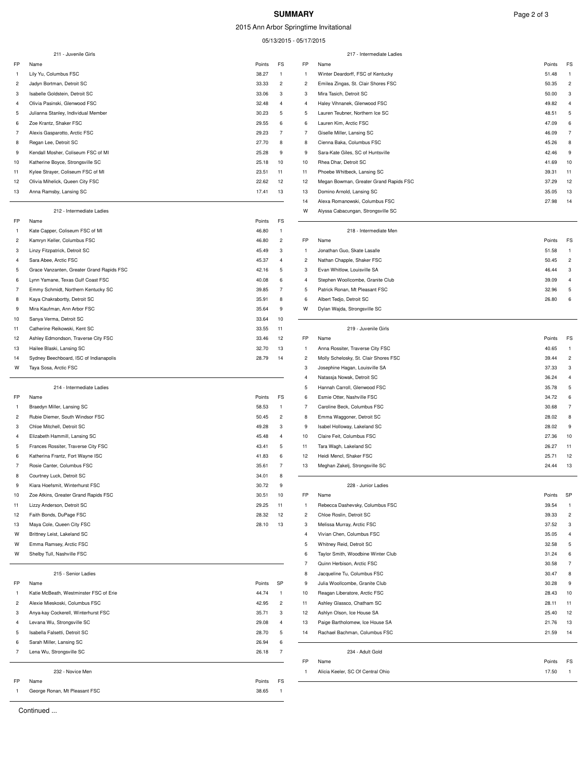#### **SUMMARY** Page 2 of 3

2015 Ann Arbor Springtime Invitational

05/13/2015 - 05/17/2015

|                | 211 - Juvenile Girls                                                           |                 |                         |                     | 217 - Intermediate Ladies                                               |                |                     |
|----------------|--------------------------------------------------------------------------------|-----------------|-------------------------|---------------------|-------------------------------------------------------------------------|----------------|---------------------|
| <b>FP</b>      | Name                                                                           | Points          | FS                      | FP                  | Name                                                                    | Points         | FS                  |
| в              | Lily Yu, Columbus FSC                                                          | 38.27           | 1                       | -1                  | Winter Deardorff, FSC of Kentucky                                       | 51.48          |                     |
| $\overline{2}$ | Jadyn Bortman, Detroit SC                                                      | 33.33           | $\overline{c}$          | 2                   | Emilea Zingas, St. Clair Shores FSC                                     | 50.35          | $\overline{c}$      |
| 3              | Isabelle Goldstein, Detroit SC                                                 | 33.06           | 3                       | 3                   | Mira Tasich, Detroit SC                                                 | 50.00          | 3                   |
| 4              | Olivia Pasinski, Glenwood FSC                                                  | 32.48           | $\overline{4}$          | $\overline{4}$      | Haley Vihnanek, Glenwood FSC                                            | 49.82          | $\overline{4}$      |
| 5              | Julianna Stanley, Individual Member                                            | 30.23           | 5                       | 5                   | Lauren Teubner, Northern Ice SC                                         | 48.51          | 5                   |
| 6              | Zoe Krantz, Shaker FSC                                                         | 29.55           | 6                       | 6                   | Lauren Kim, Arctic FSC                                                  | 47.09          | 6                   |
| $\overline{7}$ | Alexis Gasparotto, Arctic FSC                                                  | 29.23           | $\overline{7}$          | $\overline{7}$      | Giselle Miller, Lansing SC                                              | 46.09          | $\overline{7}$      |
| 8              | Regan Lee, Detroit SC                                                          | 27.70           | 8                       | 8                   | Cienna Baka, Columbus FSC                                               | 45.26          | 8                   |
| 9              | Kendall Mosher, Coliseum FSC of MI                                             | 25.28           | 9                       | 9                   | Sara-Kate Giles, SC of Huntsville                                       | 42.46          | 9                   |
| 10             | Katherine Boyce, Strongsville SC                                               | 25.18           | 10                      | 10                  | Rhea Dhar, Detroit SC                                                   | 41.69          | 10                  |
| 11             | Kylee Strayer, Coliseum FSC of MI                                              | 23.51           | 11                      | 11                  | Phoebe Whitbeck, Lansing SC                                             | 39.31          | 11                  |
| 12             | Olivia Mihelick, Queen City FSC                                                | 22.62           | 12                      | 12                  | Megan Bowman, Greater Grand Rapids FSC                                  | 37.29          | 12                  |
| 13             | Anna Ramsby, Lansing SC                                                        | 17.41           | 13                      | 13                  | Domino Arnold, Lansing SC                                               | 35.05          | 13                  |
|                |                                                                                |                 |                         | 14                  | Alexa Romanowski, Columbus FSC                                          | 27.98          | 14                  |
|                | 212 - Intermediate Ladies<br>Name                                              |                 | FS                      | W                   | Alyssa Cabacungan, Strongsville SC                                      |                |                     |
| FP             |                                                                                | Points          | $\mathbf{1}$            |                     | 218 - Intermediate Men                                                  |                |                     |
| 1              | Kate Capper, Coliseum FSC of MI                                                | 46.80           |                         |                     |                                                                         |                |                     |
| 2              | Kamryn Keller, Columbus FSC                                                    | 46.80           | $\overline{c}$          | FP                  | Name                                                                    | Points         | FS                  |
| 3              | Linzy Fitzpatrick, Detroit SC                                                  | 45.49           | 3<br>$\overline{4}$     | -1                  | Jonathan Guo, Skate Lasalle                                             | 51.58          | -1                  |
| 4<br>5         | Sara Abee, Arctic FSC                                                          | 45.37           | 5                       | 2<br>3              | Nathan Chapple, Shaker FSC<br>Evan Whitlow, Louisville SA               | 50.45<br>46.44 | $\overline{c}$<br>3 |
|                | Grace Vanzanten, Greater Grand Rapids FSC<br>Lynn Yamane, Texas Gulf Coast FSC | 42.16           |                         |                     |                                                                         |                | $\overline{a}$      |
| 6              |                                                                                | 40.08           | 6<br>$\overline{7}$     | $\overline{4}$      | Stephen Woollcombe, Granite Club<br>Patrick Ronan, Mt Pleasant FSC      | 39.09          |                     |
| 7              | Emmy Schmidt, Northern Kentucky SC                                             | 39.85           |                         | 5                   |                                                                         | 32.96          | 5<br>6              |
| 8              | Kaya Chakrabortty, Detroit SC                                                  | 35.91           | 8                       | 6                   | Albert Tedjo, Detroit SC                                                | 26.80          |                     |
| 9              | Mira Kaufman, Ann Arbor FSC<br>Sanya Verma, Detroit SC                         | 35.64           | 9                       | W                   | Dylan Wajda, Strongsville SC                                            |                |                     |
| 10             |                                                                                | 33.64           | 10                      |                     | 219 - Juvenile Girls                                                    |                |                     |
| 11             | Catherine Reikowski, Kent SC                                                   | 33.55           | 11                      |                     |                                                                         |                |                     |
| 12             | Ashley Edmondson, Traverse City FSC                                            | 33.46           | 12                      | FP                  | Name                                                                    | Points         | FS<br>-1            |
| 13             | Hailee Blaski, Lansing SC                                                      | 32.70<br>28.79  | 13<br>14                | 1<br>$\overline{c}$ | Anna Rossiter, Traverse City FSC                                        | 40.65<br>39.44 | $\overline{c}$      |
| 14<br>W        | Sydney Beechboard, ISC of Indianapolis<br>Taya Sosa, Arctic FSC                |                 |                         | 3                   | Molly Schelosky, St. Clair Shores FSC<br>Josephine Hagan, Louisville SA | 37.33          | 3                   |
|                |                                                                                |                 |                         | 4                   | Natassja Nowak, Detroit SC                                              | 36.24          | $\overline{4}$      |
|                | 214 - Intermediate Ladies                                                      |                 |                         | 5                   | Hannah Carroll, Glenwood FSC                                            | 35.78          | 5                   |
| FP             |                                                                                |                 | FS                      | 6                   | Esmie Otter, Nashville FSC                                              | 34.72          | 6                   |
|                | Name<br>Braedyn Miller, Lansing SC                                             | Points<br>58.53 | $\mathbf{1}$            | $\overline{7}$      | Caroline Beck, Columbus FSC                                             | 30.68          | $\overline{7}$      |
| $\overline{2}$ | Rubie Diemer, South Windsor FSC                                                | 50.45           | $\overline{c}$          | 8                   | Emma Waggoner, Detroit SC                                               | 28.02          | 8                   |
| 3              | Chloe Mitchell, Detroit SC                                                     | 49.28           | 3                       | 9                   | Isabel Holloway, Lakeland SC                                            | 28.02          | 9                   |
| 4              | Elizabeth Hammill, Lansing SC                                                  | 45.48           | 4                       | 10                  | Claire Feit, Columbus FSC                                               | 27.36          | 10                  |
| 5              | Frances Rossiter, Traverse City FSC                                            | 43.41           | 5                       | 11                  | Tara Wagh, Lakeland SC                                                  | 26.27          | 11                  |
| 6              | Katherina Frantz, Fort Wayne ISC                                               | 41.83           | 6                       | 12                  | Heidi Mencl, Shaker FSC                                                 | 25.71          | 12                  |
| 7              | Rosie Canter, Columbus FSC                                                     | 35.61           | $\overline{7}$          | 13                  | Meghan Zakelj, Strongsville SC                                          | 24.44          | 13                  |
| 8              | Courtney Luck, Detroit SC                                                      | 34.01           | 8                       |                     |                                                                         |                |                     |
| 9              | Kiara Hoefsmit, Winterhurst FSC                                                | 30.72           | 9                       |                     | 228 - Junior Ladies                                                     |                |                     |
| 10             | Zoe Atkins, Greater Grand Rapids FSC                                           | 30.51           | 10                      | FP                  | Name                                                                    | Points         | SP                  |
| 11             | Lizzy Anderson, Detroit SC                                                     | 29.25           | 11                      | -1                  | Rebecca Dashevsky, Columbus FSC                                         | 39.54          |                     |
| 12             | Faith Bonds, DuPage FSC                                                        | 28.32           | 12                      | $\overline{c}$      | Chloe Roslin, Detroit SC                                                | 39.33          | $\overline{c}$      |
| 13             | Maya Cole, Queen City FSC                                                      | 28.10           | 13                      | 3                   | Melissa Murray, Arctic FSC                                              | 37.52          | 3                   |
| W              | Brittney Leist, Lakeland SC                                                    |                 |                         | 4                   | Vivian Chen, Columbus FSC                                               | 35.05          | $\overline{4}$      |
| W              | Emma Ramsey, Arctic FSC                                                        |                 |                         | 5                   | Whitney Reid, Detroit SC                                                | 32.58          | 5                   |
| w              | Shelby Tull, Nashville FSC                                                     |                 |                         | 6                   | Taylor Smith, Woodbine Winter Club                                      | 31.24          | 6                   |
|                |                                                                                |                 |                         | $\overline{7}$      | Quinn Herbison, Arctic FSC                                              | 30.58          | $\overline{7}$      |
|                | 215 - Senior Ladies                                                            |                 |                         | 8                   | Jacqueline Tu, Columbus FSC                                             | 30.47          | 8                   |
| FP             | Name                                                                           | Points          | SP                      | 9                   | Julia Woollcombe, Granite Club                                          | 30.28          | 9                   |
| в              | Katie McBeath, Westminster FSC of Erie                                         | 44.74           | $\mathbf{1}$            | 10                  | Reagan Liberatore, Arctic FSC                                           | 28.43          | 10                  |
| $\overline{c}$ | Alexie Mieskoski, Columbus FSC                                                 | 42.95           | $\overline{\mathbf{c}}$ | 11                  | Ashley Glassco, Chatham SC                                              | 28.11          | 11                  |
| 3              | Anya-kay Cockerell, Winterhurst FSC                                            | 35.71           | 3                       | 12                  | Ashlyn Olson, Ice House SA                                              | 25.40          | 12                  |
| 4              | Levana Wu, Strongsville SC                                                     | 29.08           | 4                       | 13                  | Paige Bartholomew, Ice House SA                                         | 21.76          | 13                  |
| 5              | Isabella Falsetti, Detroit SC                                                  | 28.70           | 5                       | 14                  | Rachael Bachman, Columbus FSC                                           | 21.59          | 14                  |
| 6              | Sarah Miller, Lansing SC                                                       | 26.94           | 6                       |                     |                                                                         |                |                     |
| 7              | Lena Wu, Strongsville SC                                                       | 26.18           | $\overline{7}$          |                     | 234 - Adult Gold                                                        |                |                     |
|                |                                                                                |                 |                         | FP                  | Name                                                                    | Points         | FS                  |
|                | 232 - Novice Men                                                               |                 |                         | -1                  | Alicia Keeler, SC Of Central Ohio                                       | 17.50          |                     |
| FP             | Name                                                                           | Points          | FS                      |                     |                                                                         |                |                     |
| -1             | George Ronan, Mt Pleasant FSC                                                  | 38.65           | $\overline{1}$          |                     |                                                                         |                |                     |

#### 218 - Intermediate Men

| FP             | Name                             | Points | FS             |
|----------------|----------------------------------|--------|----------------|
| 1              | Jonathan Guo, Skate Lasalle      | 51.58  | 1              |
| $\overline{2}$ | Nathan Chapple, Shaker FSC       | 50.45  | $\overline{2}$ |
| 3              | Evan Whitlow, Louisville SA      | 46.44  | 3              |
| $\overline{4}$ | Stephen Woollcombe, Granite Club | 39.09  | 4              |
| 5              | Patrick Ronan, Mt Pleasant FSC   | 32.96  | 5              |
| 6              | Albert Tedjo, Detroit SC         | 26.80  | 6              |
| W              | Dylan Waida, Strongsville SC     |        |                |

#### 219 - Juvenile Girls

| <b>FP</b>      | Name                                  | Points    | FS             |
|----------------|---------------------------------------|-----------|----------------|
| 1              | Anna Rossiter, Traverse City FSC      | 40.65     | 1              |
| $\overline{2}$ | Molly Schelosky, St. Clair Shores FSC | 39.44     | $\overline{2}$ |
| 3              | Josephine Hagan, Louisville SA        | 37.33     | 3              |
| 4              | Natassia Nowak, Detroit SC            | 36.24     | 4              |
| 5              | Hannah Carroll, Glenwood FSC          | 35.78     | 5              |
| 6              | Esmie Otter, Nashville FSC            | 34.72     | 6              |
| $\overline{7}$ | Caroline Beck, Columbus FSC           | 30.68     | $\overline{7}$ |
| 8              | Emma Waggoner, Detroit SC             | 28.02     | 8              |
| 9              | Isabel Holloway, Lakeland SC          | 28.02     | 9              |
| 10             | Claire Feit, Columbus FSC             | 27.36     | 10             |
| 11             | Tara Wagh, Lakeland SC                | 26.27     | 11             |
| 12             | Heidi Mencl, Shaker FSC               | 25.71     | 12             |
| 12             | Moghan Zakoli, Strongevillo SC        | $2A$ $AA$ | 12             |

#### 228 - Junior Ladies

| FP             | Name                               | Points | SP             |  |
|----------------|------------------------------------|--------|----------------|--|
| 1              | Rebecca Dashevsky, Columbus FSC    | 39.54  | 1              |  |
| 2              | Chloe Roslin, Detroit SC           | 39.33  | $\overline{2}$ |  |
| 3              | Melissa Murray, Arctic FSC         | 37.52  | 3              |  |
| 4              | Vivian Chen, Columbus FSC          | 35.05  | $\overline{4}$ |  |
| 5              | Whitney Reid, Detroit SC           | 32.58  | 5              |  |
| 6              | Taylor Smith, Woodbine Winter Club | 31.24  | 6              |  |
| $\overline{7}$ | Quinn Herbison, Arctic FSC         | 30.58  | $\overline{7}$ |  |
| 8              | Jacqueline Tu, Columbus FSC        | 30.47  | 8              |  |
| 9              | Julia Woollcombe, Granite Club     | 30.28  | 9              |  |
| 10             | Reagan Liberatore, Arctic FSC      | 28.43  | 10             |  |
| 11             | Ashley Glassco, Chatham SC         | 28.11  | 11             |  |
| 12             | Ashlyn Olson, Ice House SA         | 25.40  | 12             |  |
| 13             | Paige Bartholomew, Ice House SA    | 21.76  | 13             |  |
| 14             | Rachael Bachman, Columbus FSC      | 21.59  | 14             |  |
|                | 234 - Adult Gold                   |        |                |  |
| FP             | Name                               | Points | FS             |  |
| 1.             | Alicia Koolor, SC Of Control Ohio  | 17.50  | 1.             |  |

Continued ...